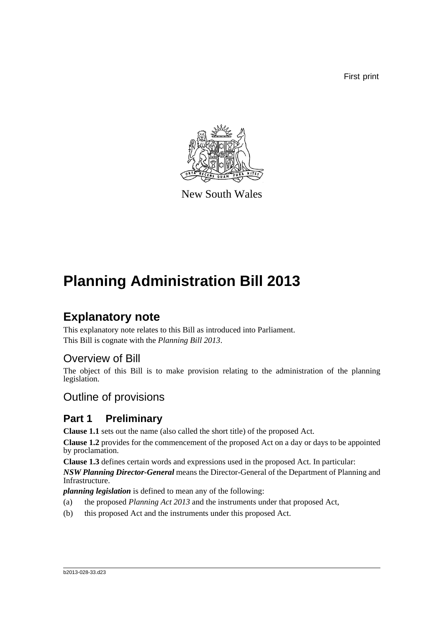First print



New South Wales

# **Planning Administration Bill 2013**

# **Explanatory note**

This explanatory note relates to this Bill as introduced into Parliament. This Bill is cognate with the *Planning Bill 2013*.

# Overview of Bill

The object of this Bill is to make provision relating to the administration of the planning legislation.

# Outline of provisions

# **Part 1 Preliminary**

**Clause 1.1** sets out the name (also called the short title) of the proposed Act.

**Clause 1.2** provides for the commencement of the proposed Act on a day or days to be appointed by proclamation.

**Clause 1.3** defines certain words and expressions used in the proposed Act. In particular:

*NSW Planning Director-General* means the Director-General of the Department of Planning and Infrastructure.

*planning legislation* is defined to mean any of the following:

- (a) the proposed *Planning Act 2013* and the instruments under that proposed Act,
- (b) this proposed Act and the instruments under this proposed Act.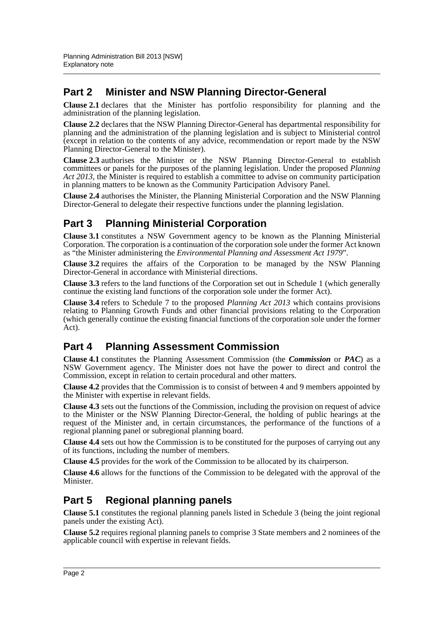# **Part 2 Minister and NSW Planning Director-General**

**Clause 2.1** declares that the Minister has portfolio responsibility for planning and the administration of the planning legislation.

**Clause 2.2** declares that the NSW Planning Director-General has departmental responsibility for planning and the administration of the planning legislation and is subject to Ministerial control (except in relation to the contents of any advice, recommendation or report made by the NSW Planning Director-General to the Minister).

**Clause 2.3** authorises the Minister or the NSW Planning Director-General to establish committees or panels for the purposes of the planning legislation. Under the proposed *Planning Act 2013*, the Minister is required to establish a committee to advise on community participation in planning matters to be known as the Community Participation Advisory Panel.

**Clause 2.4** authorises the Minister, the Planning Ministerial Corporation and the NSW Planning Director-General to delegate their respective functions under the planning legislation.

# **Part 3 Planning Ministerial Corporation**

**Clause 3.1** constitutes a NSW Government agency to be known as the Planning Ministerial Corporation. The corporation is a continuation of the corporation sole under the former Act known as "the Minister administering the *Environmental Planning and Assessment Act 1979*".

**Clause 3.2** requires the affairs of the Corporation to be managed by the NSW Planning Director-General in accordance with Ministerial directions.

**Clause 3.3** refers to the land functions of the Corporation set out in Schedule 1 (which generally continue the existing land functions of the corporation sole under the former Act).

**Clause 3.4** refers to Schedule 7 to the proposed *Planning Act 2013* which contains provisions relating to Planning Growth Funds and other financial provisions relating to the Corporation (which generally continue the existing financial functions of the corporation sole under the former Act).

# **Part 4 Planning Assessment Commission**

**Clause 4.1** constitutes the Planning Assessment Commission (the *Commission* or *PAC*) as a NSW Government agency. The Minister does not have the power to direct and control the Commission, except in relation to certain procedural and other matters.

**Clause 4.2** provides that the Commission is to consist of between 4 and 9 members appointed by the Minister with expertise in relevant fields.

**Clause 4.3** sets out the functions of the Commission, including the provision on request of advice to the Minister or the NSW Planning Director-General, the holding of public hearings at the request of the Minister and, in certain circumstances, the performance of the functions of a regional planning panel or subregional planning board.

**Clause 4.4** sets out how the Commission is to be constituted for the purposes of carrying out any of its functions, including the number of members.

**Clause 4.5** provides for the work of the Commission to be allocated by its chairperson.

**Clause 4.6** allows for the functions of the Commission to be delegated with the approval of the Minister.

## **Part 5 Regional planning panels**

**Clause 5.1** constitutes the regional planning panels listed in Schedule 3 (being the joint regional panels under the existing Act).

**Clause 5.2** requires regional planning panels to comprise 3 State members and 2 nominees of the applicable council with expertise in relevant fields.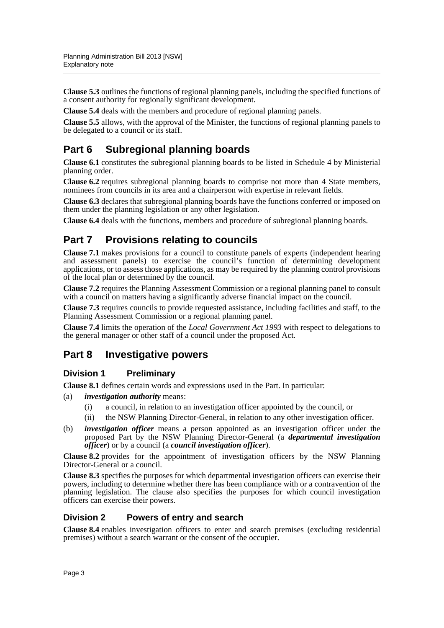**Clause 5.3** outlines the functions of regional planning panels, including the specified functions of a consent authority for regionally significant development.

**Clause 5.4** deals with the members and procedure of regional planning panels.

**Clause 5.5** allows, with the approval of the Minister, the functions of regional planning panels to be delegated to a council or its staff.

# **Part 6 Subregional planning boards**

**Clause 6.1** constitutes the subregional planning boards to be listed in Schedule 4 by Ministerial planning order.

**Clause 6.2** requires subregional planning boards to comprise not more than 4 State members, nominees from councils in its area and a chairperson with expertise in relevant fields.

**Clause 6.3** declares that subregional planning boards have the functions conferred or imposed on them under the planning legislation or any other legislation.

**Clause 6.4** deals with the functions, members and procedure of subregional planning boards.

# **Part 7 Provisions relating to councils**

**Clause 7.1** makes provisions for a council to constitute panels of experts (independent hearing and assessment panels) to exercise the council's function of determining development applications, or to assess those applications, as may be required by the planning control provisions of the local plan or determined by the council.

**Clause 7.2** requires the Planning Assessment Commission or a regional planning panel to consult with a council on matters having a significantly adverse financial impact on the council.

**Clause 7.3** requires councils to provide requested assistance, including facilities and staff, to the Planning Assessment Commission or a regional planning panel.

**Clause 7.4** limits the operation of the *Local Government Act 1993* with respect to delegations to the general manager or other staff of a council under the proposed Act.

## **Part 8 Investigative powers**

## **Division 1 Preliminary**

**Clause 8.1** defines certain words and expressions used in the Part. In particular:

- (a) *investigation authority* means:
	- (i) a council, in relation to an investigation officer appointed by the council, or
	- (ii) the NSW Planning Director-General, in relation to any other investigation officer.
- (b) *investigation officer* means a person appointed as an investigation officer under the proposed Part by the NSW Planning Director-General (a *departmental investigation officer*) or by a council (a *council investigation officer*).

**Clause 8.2** provides for the appointment of investigation officers by the NSW Planning Director-General or a council.

**Clause 8.3** specifies the purposes for which departmental investigation officers can exercise their powers, including to determine whether there has been compliance with or a contravention of the planning legislation. The clause also specifies the purposes for which council investigation officers can exercise their powers.

## **Division 2 Powers of entry and search**

**Clause 8.4** enables investigation officers to enter and search premises (excluding residential premises) without a search warrant or the consent of the occupier.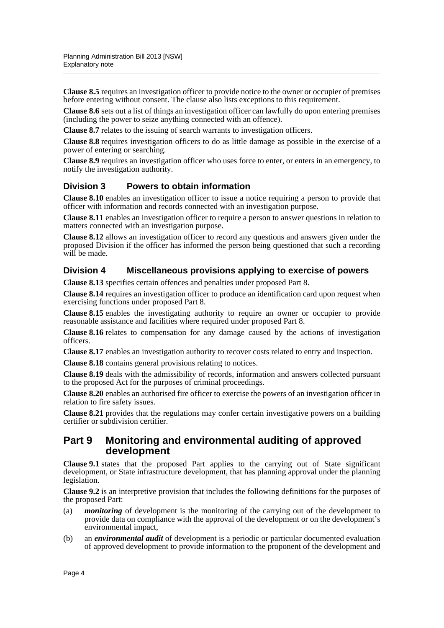**Clause 8.5** requires an investigation officer to provide notice to the owner or occupier of premises before entering without consent. The clause also lists exceptions to this requirement.

**Clause 8.6** sets out a list of things an investigation officer can lawfully do upon entering premises (including the power to seize anything connected with an offence).

**Clause 8.7** relates to the issuing of search warrants to investigation officers.

**Clause 8.8** requires investigation officers to do as little damage as possible in the exercise of a power of entering or searching.

**Clause 8.9** requires an investigation officer who uses force to enter, or enters in an emergency, to notify the investigation authority.

## **Division 3 Powers to obtain information**

**Clause 8.10** enables an investigation officer to issue a notice requiring a person to provide that officer with information and records connected with an investigation purpose.

**Clause 8.11** enables an investigation officer to require a person to answer questions in relation to matters connected with an investigation purpose.

**Clause 8.12** allows an investigation officer to record any questions and answers given under the proposed Division if the officer has informed the person being questioned that such a recording will be made.

### **Division 4 Miscellaneous provisions applying to exercise of powers**

**Clause 8.13** specifies certain offences and penalties under proposed Part 8.

**Clause 8.14** requires an investigation officer to produce an identification card upon request when exercising functions under proposed Part 8.

**Clause 8.15** enables the investigating authority to require an owner or occupier to provide reasonable assistance and facilities where required under proposed Part 8.

**Clause 8.16** relates to compensation for any damage caused by the actions of investigation officers.

**Clause 8.17** enables an investigation authority to recover costs related to entry and inspection.

**Clause 8.18** contains general provisions relating to notices.

**Clause 8.19** deals with the admissibility of records, information and answers collected pursuant to the proposed Act for the purposes of criminal proceedings.

**Clause 8.20** enables an authorised fire officer to exercise the powers of an investigation officer in relation to fire safety issues.

**Clause 8.21** provides that the regulations may confer certain investigative powers on a building certifier or subdivision certifier.

## **Part 9 Monitoring and environmental auditing of approved development**

**Clause 9.1** states that the proposed Part applies to the carrying out of State significant development, or State infrastructure development, that has planning approval under the planning legislation.

**Clause 9.2** is an interpretive provision that includes the following definitions for the purposes of the proposed Part:

- (a) *monitoring* of development is the monitoring of the carrying out of the development to provide data on compliance with the approval of the development or on the development's environmental impact,
- (b) an *environmental audit* of development is a periodic or particular documented evaluation of approved development to provide information to the proponent of the development and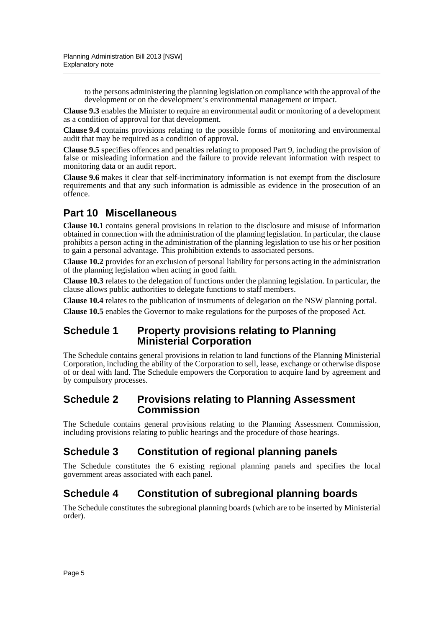to the persons administering the planning legislation on compliance with the approval of the development or on the development's environmental management or impact.

**Clause 9.3** enables the Minister to require an environmental audit or monitoring of a development as a condition of approval for that development.

**Clause 9.4** contains provisions relating to the possible forms of monitoring and environmental audit that may be required as a condition of approval.

**Clause 9.5** specifies offences and penalties relating to proposed Part 9, including the provision of false or misleading information and the failure to provide relevant information with respect to monitoring data or an audit report.

**Clause 9.6** makes it clear that self-incriminatory information is not exempt from the disclosure requirements and that any such information is admissible as evidence in the prosecution of an offence.

# **Part 10 Miscellaneous**

**Clause 10.1** contains general provisions in relation to the disclosure and misuse of information obtained in connection with the administration of the planning legislation. In particular, the clause prohibits a person acting in the administration of the planning legislation to use his or her position to gain a personal advantage. This prohibition extends to associated persons.

**Clause 10.2** provides for an exclusion of personal liability for persons acting in the administration of the planning legislation when acting in good faith.

**Clause 10.3** relates to the delegation of functions under the planning legislation. In particular, the clause allows public authorities to delegate functions to staff members.

**Clause 10.4** relates to the publication of instruments of delegation on the NSW planning portal.

**Clause 10.5** enables the Governor to make regulations for the purposes of the proposed Act.

## **Schedule 1 Property provisions relating to Planning Ministerial Corporation**

The Schedule contains general provisions in relation to land functions of the Planning Ministerial Corporation, including the ability of the Corporation to sell, lease, exchange or otherwise dispose of or deal with land. The Schedule empowers the Corporation to acquire land by agreement and by compulsory processes.

## **Schedule 2 Provisions relating to Planning Assessment Commission**

The Schedule contains general provisions relating to the Planning Assessment Commission, including provisions relating to public hearings and the procedure of those hearings.

# **Schedule 3 Constitution of regional planning panels**

The Schedule constitutes the 6 existing regional planning panels and specifies the local government areas associated with each panel.

# **Schedule 4 Constitution of subregional planning boards**

The Schedule constitutes the subregional planning boards (which are to be inserted by Ministerial order).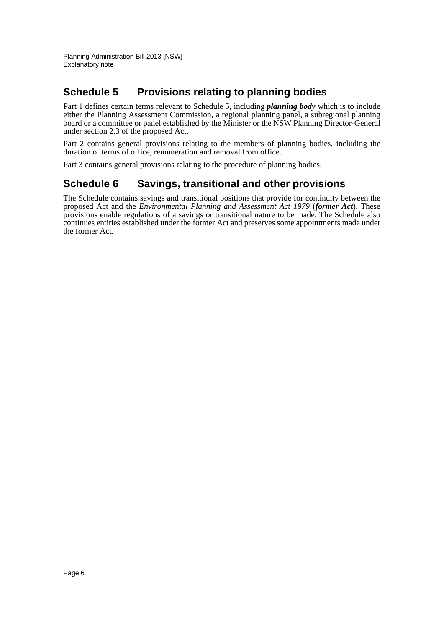# **Schedule 5 Provisions relating to planning bodies**

Part 1 defines certain terms relevant to Schedule 5, including *planning body* which is to include either the Planning Assessment Commission, a regional planning panel, a subregional planning board or a committee or panel established by the Minister or the NSW Planning Director-General under section 2.3 of the proposed Act.

Part 2 contains general provisions relating to the members of planning bodies, including the duration of terms of office, remuneration and removal from office.

Part 3 contains general provisions relating to the procedure of planning bodies.

## **Schedule 6 Savings, transitional and other provisions**

The Schedule contains savings and transitional positions that provide for continuity between the proposed Act and the *Environmental Planning and Assessment Act 1979* (*former Act*). These provisions enable regulations of a savings or transitional nature to be made. The Schedule also continues entities established under the former Act and preserves some appointments made under the former Act.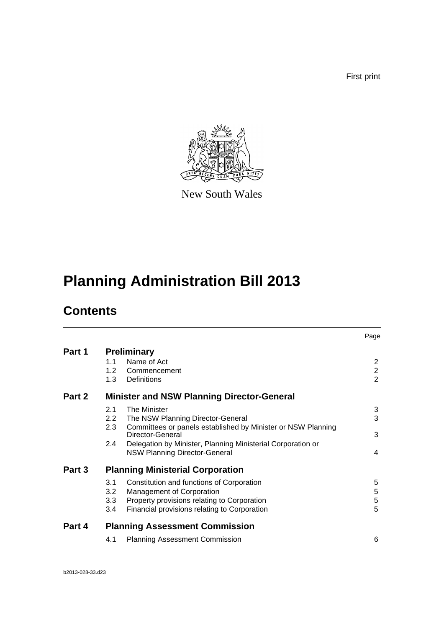First print



New South Wales

# **Planning Administration Bill 2013**

# **Contents**

|        |                                    |                                                                                                                                                                                                                                              | Page                                             |
|--------|------------------------------------|----------------------------------------------------------------------------------------------------------------------------------------------------------------------------------------------------------------------------------------------|--------------------------------------------------|
| Part 1 | 1.1<br>1.2<br>1.3                  | <b>Preliminary</b><br>Name of Act<br>Commencement<br>Definitions                                                                                                                                                                             | $\mathbf{2}$<br>$\overline{2}$<br>$\overline{2}$ |
| Part 2 |                                    | <b>Minister and NSW Planning Director-General</b>                                                                                                                                                                                            |                                                  |
|        | 2.1<br>2.2<br>2.3<br>$2.4^{\circ}$ | The Minister<br>The NSW Planning Director-General<br>Committees or panels established by Minister or NSW Planning<br>Director-General<br>Delegation by Minister, Planning Ministerial Corporation or<br><b>NSW Planning Director-General</b> | 3<br>3<br>3<br>4                                 |
| Part 3 | 3.1<br>3.2<br>3.3<br>3.4           | <b>Planning Ministerial Corporation</b><br>Constitution and functions of Corporation<br>Management of Corporation<br>Property provisions relating to Corporation<br>Financial provisions relating to Corporation                             | 5<br>5<br>5<br>5                                 |
| Part 4 |                                    | <b>Planning Assessment Commission</b>                                                                                                                                                                                                        |                                                  |
|        | 4.1                                | <b>Planning Assessment Commission</b>                                                                                                                                                                                                        | 6                                                |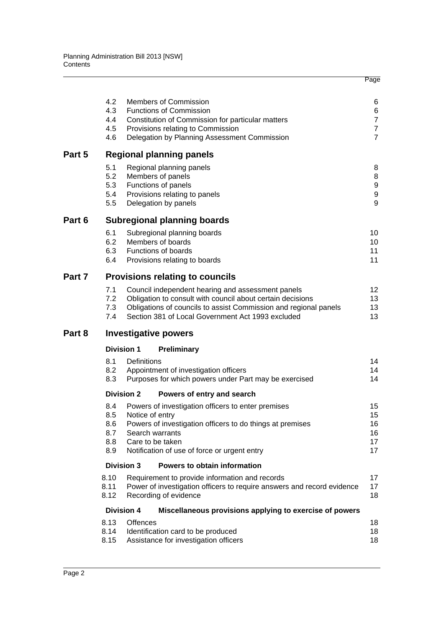|        | 4.2<br>4.3<br>4.4<br>4.5<br>4.6        |                   | <b>Members of Commission</b><br><b>Functions of Commission</b><br>Constitution of Commission for particular matters<br>Provisions relating to Commission<br>Delegation by Planning Assessment Commission                                 | 6<br>6<br>$\overline{7}$<br>$\overline{7}$<br>$\overline{7}$ |
|--------|----------------------------------------|-------------------|------------------------------------------------------------------------------------------------------------------------------------------------------------------------------------------------------------------------------------------|--------------------------------------------------------------|
| Part 5 |                                        |                   | <b>Regional planning panels</b>                                                                                                                                                                                                          |                                                              |
|        | 5.1<br>5.2<br>5.3<br>5.4<br>5.5        |                   | Regional planning panels<br>Members of panels<br>Functions of panels<br>Provisions relating to panels<br>Delegation by panels                                                                                                            | 8<br>8<br>9<br>$\boldsymbol{9}$<br>9                         |
| Part 6 |                                        |                   | <b>Subregional planning boards</b>                                                                                                                                                                                                       |                                                              |
|        | 6.1<br>6.2<br>6.3<br>6.4               |                   | Subregional planning boards<br>Members of boards<br>Functions of boards<br>Provisions relating to boards                                                                                                                                 | 10<br>10<br>11<br>11                                         |
| Part 7 |                                        |                   | <b>Provisions relating to councils</b>                                                                                                                                                                                                   |                                                              |
|        | 7.1<br>7.2<br>7.3<br>7.4               |                   | Council independent hearing and assessment panels<br>Obligation to consult with council about certain decisions<br>Obligations of councils to assist Commission and regional panels<br>Section 381 of Local Government Act 1993 excluded | 12 <sup>°</sup><br>13<br>13<br>13                            |
| Part 8 |                                        |                   | <b>Investigative powers</b>                                                                                                                                                                                                              |                                                              |
|        |                                        | <b>Division 1</b> | <b>Preliminary</b>                                                                                                                                                                                                                       |                                                              |
|        | 8.1<br>8.2<br>8.3                      | Definitions       | Appointment of investigation officers<br>Purposes for which powers under Part may be exercised                                                                                                                                           | 14<br>14<br>14                                               |
|        |                                        | <b>Division 2</b> | Powers of entry and search                                                                                                                                                                                                               |                                                              |
|        | 8.4<br>8.5<br>8.6<br>8.7<br>8.8<br>8.9 | Notice of entry   | Powers of investigation officers to enter premises<br>Powers of investigation officers to do things at premises<br>Search warrants<br>Care to be taken<br>Notification of use of force or urgent entry                                   | 15<br>15<br>16<br>16<br>17<br>17                             |
|        |                                        | <b>Division 3</b> | Powers to obtain information                                                                                                                                                                                                             |                                                              |
|        | 8.10<br>8.11<br>8.12                   |                   | Requirement to provide information and records<br>Power of investigation officers to require answers and record evidence<br>Recording of evidence                                                                                        | 17<br>17<br>18                                               |
|        |                                        | <b>Division 4</b> | Miscellaneous provisions applying to exercise of powers                                                                                                                                                                                  |                                                              |
|        | 8.13<br>8.14<br>8.15                   | <b>Offences</b>   | Identification card to be produced<br>Assistance for investigation officers                                                                                                                                                              | 18<br>18<br>18                                               |
|        |                                        |                   |                                                                                                                                                                                                                                          |                                                              |

Page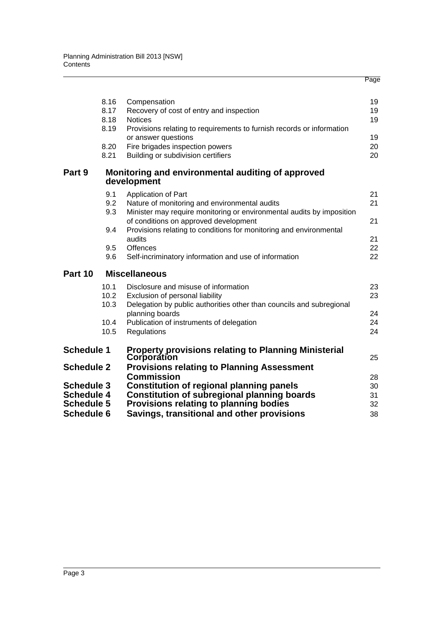|                                        |      |                                                                       | Page |
|----------------------------------------|------|-----------------------------------------------------------------------|------|
|                                        |      |                                                                       |      |
|                                        | 8.16 | Compensation                                                          | 19   |
|                                        | 8.17 | Recovery of cost of entry and inspection                              | 19   |
|                                        | 8.18 | <b>Notices</b>                                                        | 19   |
|                                        | 8.19 | Provisions relating to requirements to furnish records or information |      |
|                                        |      | or answer questions                                                   | 19   |
|                                        | 8.20 | Fire brigades inspection powers                                       | 20   |
|                                        | 8.21 | Building or subdivision certifiers                                    | 20   |
| Part 9                                 |      | Monitoring and environmental auditing of approved<br>development      |      |
|                                        | 9.1  | Application of Part                                                   | 21   |
|                                        | 9.2  | Nature of monitoring and environmental audits                         | 21   |
|                                        | 9.3  | Minister may require monitoring or environmental audits by imposition |      |
|                                        |      | of conditions on approved development                                 | 21   |
|                                        | 9.4  | Provisions relating to conditions for monitoring and environmental    |      |
|                                        |      | audits                                                                | 21   |
|                                        | 9.5  | <b>Offences</b>                                                       | 22   |
|                                        | 9.6  | Self-incriminatory information and use of information                 | 22   |
| Part 10                                |      | <b>Miscellaneous</b>                                                  |      |
|                                        | 10.1 | Disclosure and misuse of information                                  | 23   |
|                                        | 10.2 | Exclusion of personal liability                                       | 23   |
|                                        | 10.3 | Delegation by public authorities other than councils and subregional  |      |
|                                        |      | planning boards                                                       | 24   |
|                                        | 10.4 | Publication of instruments of delegation                              | 24   |
|                                        | 10.5 | Regulations                                                           | 24   |
| <b>Schedule 1</b>                      |      | Property provisions relating to Planning Ministerial                  |      |
|                                        |      | Corporation                                                           | 25   |
| <b>Schedule 2</b>                      |      | <b>Provisions relating to Planning Assessment</b>                     |      |
|                                        |      | <b>Commission</b>                                                     | 28   |
| <b>Schedule 3</b>                      |      | <b>Constitution of regional planning panels</b>                       | 30   |
| <b>Schedule 4</b><br><b>Schedule 5</b> |      | <b>Constitution of subregional planning boards</b>                    | 31   |
|                                        |      | Provisions relating to planning bodies                                | 32   |
| <b>Schedule 6</b>                      |      | Savings, transitional and other provisions                            | 38   |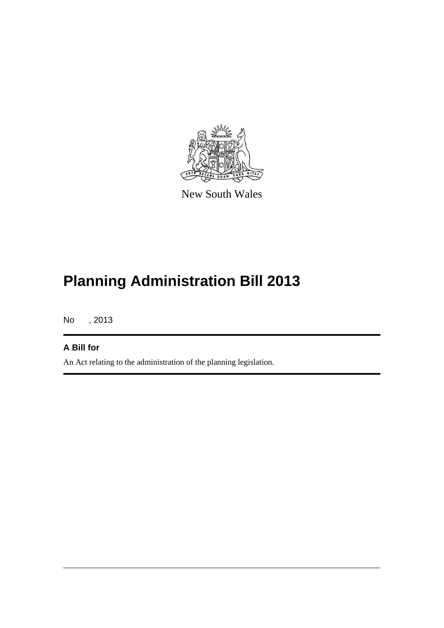

New South Wales

# **Planning Administration Bill 2013**

No , 2013

## **A Bill for**

An Act relating to the administration of the planning legislation.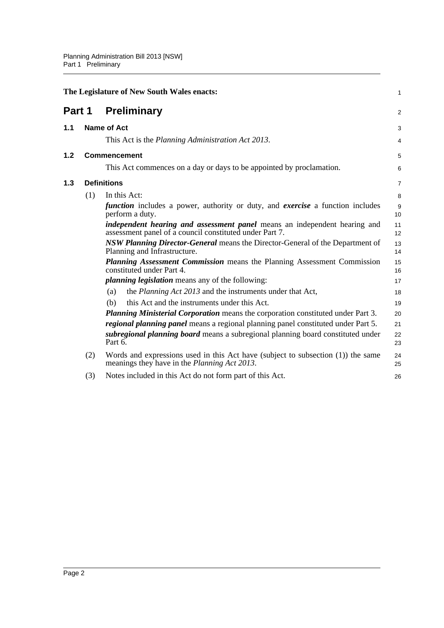<span id="page-10-2"></span><span id="page-10-1"></span><span id="page-10-0"></span>

|     |                     | The Legislature of New South Wales enacts:                                                                                                  | $\mathbf{1}$   |  |
|-----|---------------------|---------------------------------------------------------------------------------------------------------------------------------------------|----------------|--|
|     |                     | <b>Part 1 Preliminary</b>                                                                                                                   | $\overline{2}$ |  |
| 1.1 |                     | <b>Name of Act</b>                                                                                                                          | 3              |  |
|     |                     | This Act is the Planning Administration Act 2013.                                                                                           | $\overline{4}$ |  |
| 1.2 | <b>Commencement</b> |                                                                                                                                             | 5              |  |
|     |                     | This Act commences on a day or days to be appointed by proclamation.                                                                        | 6              |  |
| 1.3 | <b>Definitions</b>  |                                                                                                                                             |                |  |
|     | (1)                 | In this Act:                                                                                                                                | 8              |  |
|     |                     | function includes a power, authority or duty, and exercise a function includes<br>perform a duty.                                           | 9<br>10        |  |
|     |                     | <i>independent hearing and assessment panel</i> means an independent hearing and<br>assessment panel of a council constituted under Part 7. | 11<br>12       |  |
|     |                     | <b>NSW Planning Director-General</b> means the Director-General of the Department of<br>Planning and Infrastructure.                        | 13<br>14       |  |
|     |                     | <b>Planning Assessment Commission</b> means the Planning Assessment Commission<br>constituted under Part 4.                                 | 15<br>16       |  |
|     |                     | <i>planning legislation</i> means any of the following:                                                                                     | 17             |  |
|     |                     | the <i>Planning Act 2013</i> and the instruments under that Act,<br>(a)                                                                     | 18             |  |
|     |                     | this Act and the instruments under this Act.<br>(b)                                                                                         | 19             |  |
|     |                     | Planning Ministerial Corporation means the corporation constituted under Part 3.                                                            | 20             |  |
|     |                     | <i>regional planning panel</i> means a regional planning panel constituted under Part 5.                                                    | 21             |  |
|     |                     | subregional planning board means a subregional planning board constituted under<br>Part 6.                                                  | 22<br>23       |  |
|     | (2)                 | Words and expressions used in this Act have (subject to subsection $(1)$ ) the same<br>meanings they have in the Planning Act 2013.         | 24<br>25       |  |
|     | (3)                 | Notes included in this Act do not form part of this Act.                                                                                    | 26             |  |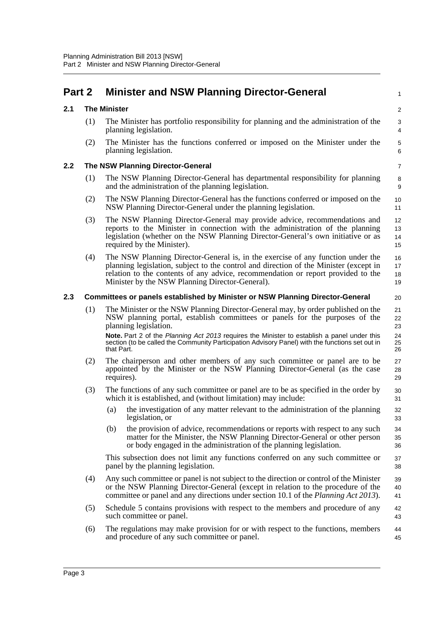## <span id="page-11-0"></span>**Part 2 Minister and NSW Planning Director-General**

#### <span id="page-11-1"></span>**2.1 The Minister**

(1) The Minister has portfolio responsibility for planning and the administration of the planning legislation.

1

20

(2) The Minister has the functions conferred or imposed on the Minister under the planning legislation.

#### <span id="page-11-2"></span>**2.2 The NSW Planning Director-General**

- (1) The NSW Planning Director-General has departmental responsibility for planning and the administration of the planning legislation.
- (2) The NSW Planning Director-General has the functions conferred or imposed on the NSW Planning Director-General under the planning legislation.
- (3) The NSW Planning Director-General may provide advice, recommendations and reports to the Minister in connection with the administration of the planning legislation (whether on the NSW Planning Director-General's own initiative or as required by the Minister). 12 13 14 15
- (4) The NSW Planning Director-General is, in the exercise of any function under the planning legislation, subject to the control and direction of the Minister (except in relation to the contents of any advice, recommendation or report provided to the Minister by the NSW Planning Director-General). 16 17 18 19

#### <span id="page-11-3"></span>**2.3 Committees or panels established by Minister or NSW Planning Director-General**

- (1) The Minister or the NSW Planning Director-General may, by order published on the NSW planning portal, establish committees or panels for the purposes of the planning legislation. **Note.** Part 2 of the *Planning Act 2013* requires the Minister to establish a panel under this section (to be called the Community Participation Advisory Panel) with the functions set out in that Part. 21 22 23 24 25 26
- (2) The chairperson and other members of any such committee or panel are to be appointed by the Minister or the NSW Planning Director-General (as the case requires). 27 28 29
- (3) The functions of any such committee or panel are to be as specified in the order by which it is established, and (without limitation) may include:
	- (a) the investigation of any matter relevant to the administration of the planning legislation, or
	- (b) the provision of advice, recommendations or reports with respect to any such matter for the Minister, the NSW Planning Director-General or other person or body engaged in the administration of the planning legislation.

This subsection does not limit any functions conferred on any such committee or panel by the planning legislation.

- (4) Any such committee or panel is not subject to the direction or control of the Minister or the NSW Planning Director-General (except in relation to the procedure of the committee or panel and any directions under section 10.1 of the *Planning Act 2013*). 39 40 41
- (5) Schedule 5 contains provisions with respect to the members and procedure of any such committee or panel. 42 43
- (6) The regulations may make provision for or with respect to the functions, members and procedure of any such committee or panel. 44 45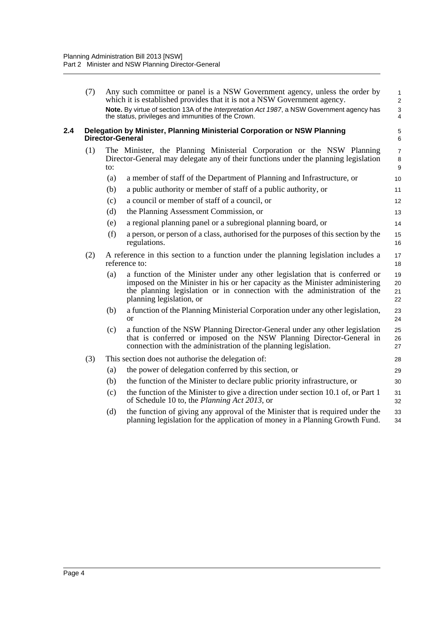<span id="page-12-0"></span>

|     | (7) |     | Any such committee or panel is a NSW Government agency, unless the order by<br>which it is established provides that it is not a NSW Government agency.<br>Note. By virtue of section 13A of the Interpretation Act 1987, a NSW Government agency has<br>the status, privileges and immunities of the Crown. | 1<br>$\overline{\mathbf{c}}$<br>3<br>4 |
|-----|-----|-----|--------------------------------------------------------------------------------------------------------------------------------------------------------------------------------------------------------------------------------------------------------------------------------------------------------------|----------------------------------------|
| 2.4 |     |     | Delegation by Minister, Planning Ministerial Corporation or NSW Planning<br><b>Director-General</b>                                                                                                                                                                                                          | 5<br>6                                 |
|     | (1) | to: | The Minister, the Planning Ministerial Corporation or the NSW Planning<br>Director-General may delegate any of their functions under the planning legislation                                                                                                                                                | 7<br>8<br>9                            |
|     |     | (a) | a member of staff of the Department of Planning and Infrastructure, or                                                                                                                                                                                                                                       | 10                                     |
|     |     | (b) | a public authority or member of staff of a public authority, or                                                                                                                                                                                                                                              | 11                                     |
|     |     | (c) | a council or member of staff of a council, or                                                                                                                                                                                                                                                                | 12                                     |
|     |     | (d) | the Planning Assessment Commission, or                                                                                                                                                                                                                                                                       | 13                                     |
|     |     | (e) | a regional planning panel or a subregional planning board, or                                                                                                                                                                                                                                                | 14                                     |
|     |     | (f) | a person, or person of a class, authorised for the purposes of this section by the<br>regulations.                                                                                                                                                                                                           | 15<br>16                               |
|     | (2) |     | A reference in this section to a function under the planning legislation includes a<br>reference to:                                                                                                                                                                                                         | 17<br>18                               |
|     |     | (a) | a function of the Minister under any other legislation that is conferred or<br>imposed on the Minister in his or her capacity as the Minister administering<br>the planning legislation or in connection with the administration of the<br>planning legislation, or                                          | 19<br>20<br>21<br>22                   |
|     |     | (b) | a function of the Planning Ministerial Corporation under any other legislation,<br>or                                                                                                                                                                                                                        | 23<br>24                               |
|     |     | (c) | a function of the NSW Planning Director-General under any other legislation<br>that is conferred or imposed on the NSW Planning Director-General in<br>connection with the administration of the planning legislation.                                                                                       | 25<br>26<br>27                         |
|     | (3) |     | This section does not authorise the delegation of:                                                                                                                                                                                                                                                           | 28                                     |
|     |     | (a) | the power of delegation conferred by this section, or                                                                                                                                                                                                                                                        | 29                                     |
|     |     | (b) | the function of the Minister to declare public priority infrastructure, or                                                                                                                                                                                                                                   | 30                                     |
|     |     | (c) | the function of the Minister to give a direction under section 10.1 of, or Part 1<br>of Schedule 10 to, the Planning Act 2013, or                                                                                                                                                                            | 31<br>32                               |
|     |     | (d) | the function of giving any approval of the Minister that is required under the<br>planning legislation for the application of money in a Planning Growth Fund.                                                                                                                                               | 33<br>34                               |
|     |     |     |                                                                                                                                                                                                                                                                                                              |                                        |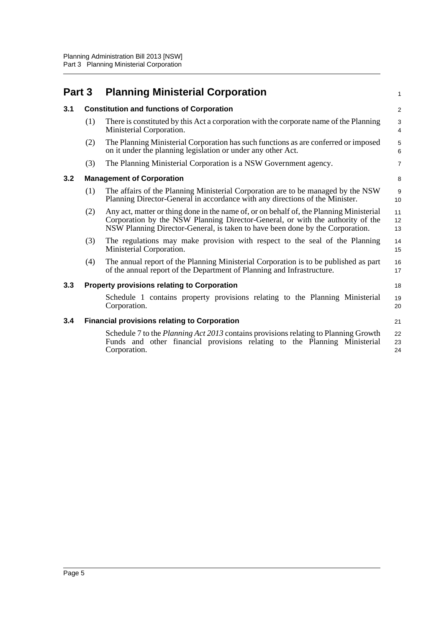<span id="page-13-4"></span><span id="page-13-3"></span><span id="page-13-2"></span><span id="page-13-1"></span><span id="page-13-0"></span>

| Part 3 |     | <b>Planning Ministerial Corporation</b>                                                                                                                                                                                                                    | 1                       |
|--------|-----|------------------------------------------------------------------------------------------------------------------------------------------------------------------------------------------------------------------------------------------------------------|-------------------------|
| 3.1    |     | <b>Constitution and functions of Corporation</b>                                                                                                                                                                                                           | $\overline{\mathbf{c}}$ |
|        | (1) | There is constituted by this Act a corporation with the corporate name of the Planning<br>Ministerial Corporation.                                                                                                                                         | 3<br>4                  |
|        | (2) | The Planning Ministerial Corporation has such functions as are conferred or imposed<br>on it under the planning legislation or under any other Act.                                                                                                        | 5<br>6                  |
|        | (3) | The Planning Ministerial Corporation is a NSW Government agency.                                                                                                                                                                                           | $\overline{7}$          |
| 3.2    |     | <b>Management of Corporation</b>                                                                                                                                                                                                                           | 8                       |
|        | (1) | The affairs of the Planning Ministerial Corporation are to be managed by the NSW<br>Planning Director-General in accordance with any directions of the Minister.                                                                                           | 9<br>10                 |
|        | (2) | Any act, matter or thing done in the name of, or on behalf of, the Planning Ministerial<br>Corporation by the NSW Planning Director-General, or with the authority of the<br>NSW Planning Director-General, is taken to have been done by the Corporation. | 11<br>12<br>13          |
|        | (3) | The regulations may make provision with respect to the seal of the Planning<br>Ministerial Corporation.                                                                                                                                                    | 14<br>15                |
|        | (4) | The annual report of the Planning Ministerial Corporation is to be published as part<br>of the annual report of the Department of Planning and Infrastructure.                                                                                             | 16<br>17                |
| 3.3    |     | <b>Property provisions relating to Corporation</b>                                                                                                                                                                                                         | 18                      |
|        |     | Schedule 1 contains property provisions relating to the Planning Ministerial<br>Corporation.                                                                                                                                                               | 19<br>20                |
| 3.4    |     | <b>Financial provisions relating to Corporation</b>                                                                                                                                                                                                        | 21                      |
|        |     | Schedule 7 to the <i>Planning Act 2013</i> contains provisions relating to Planning Growth<br>Funds and other financial provisions relating to the Planning Ministerial<br>Corporation.                                                                    | 22<br>23<br>24          |
|        |     |                                                                                                                                                                                                                                                            |                         |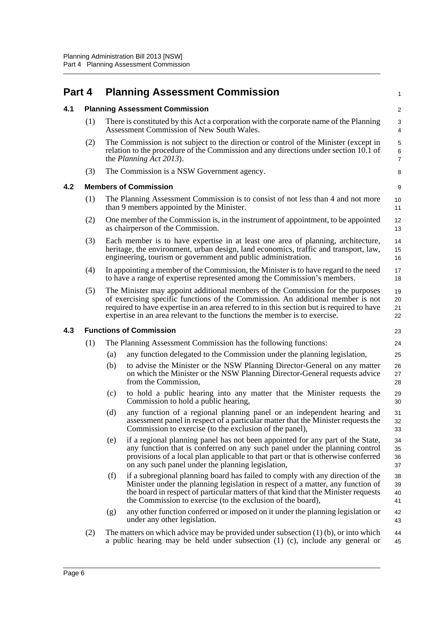<span id="page-14-3"></span><span id="page-14-2"></span><span id="page-14-1"></span><span id="page-14-0"></span>

| Part 4 |     |     | <b>Planning Assessment Commission</b>                                                                                                                                                                                                                                                                                                       |                          |  |  |  |
|--------|-----|-----|---------------------------------------------------------------------------------------------------------------------------------------------------------------------------------------------------------------------------------------------------------------------------------------------------------------------------------------------|--------------------------|--|--|--|
| 4.1    |     |     | <b>Planning Assessment Commission</b>                                                                                                                                                                                                                                                                                                       | $\overline{\mathbf{c}}$  |  |  |  |
|        | (1) |     | There is constituted by this Act a corporation with the corporate name of the Planning<br>Assessment Commission of New South Wales.                                                                                                                                                                                                         | 3<br>4                   |  |  |  |
|        | (2) |     | The Commission is not subject to the direction or control of the Minister (except in<br>relation to the procedure of the Commission and any directions under section 10.1 of<br>the <i>Planning Act 2013</i> ).                                                                                                                             | 5<br>6<br>$\overline{7}$ |  |  |  |
|        | (3) |     | The Commission is a NSW Government agency.                                                                                                                                                                                                                                                                                                  | 8                        |  |  |  |
| 4.2    |     |     | <b>Members of Commission</b>                                                                                                                                                                                                                                                                                                                | 9                        |  |  |  |
|        | (1) |     | The Planning Assessment Commission is to consist of not less than 4 and not more<br>than 9 members appointed by the Minister.                                                                                                                                                                                                               | 10<br>11                 |  |  |  |
|        | (2) |     | One member of the Commission is, in the instrument of appointment, to be appointed<br>as chairperson of the Commission.                                                                                                                                                                                                                     | 12<br>13                 |  |  |  |
|        | (3) |     | Each member is to have expertise in at least one area of planning, architecture,<br>heritage, the environment, urban design, land economics, traffic and transport, law,<br>engineering, tourism or government and public administration.                                                                                                   | 14<br>15<br>16           |  |  |  |
|        | (4) |     | In appointing a member of the Commission, the Minister is to have regard to the need<br>to have a range of expertise represented among the Commission's members.                                                                                                                                                                            | 17<br>18                 |  |  |  |
|        | (5) |     | The Minister may appoint additional members of the Commission for the purposes<br>of exercising specific functions of the Commission. An additional member is not<br>required to have expertise in an area referred to in this section but is required to have<br>expertise in an area relevant to the functions the member is to exercise. | 19<br>20<br>21<br>22     |  |  |  |
| 4.3    |     |     | <b>Functions of Commission</b>                                                                                                                                                                                                                                                                                                              | 23                       |  |  |  |
|        | (1) |     | The Planning Assessment Commission has the following functions:                                                                                                                                                                                                                                                                             | 24                       |  |  |  |
|        |     | (a) | any function delegated to the Commission under the planning legislation,                                                                                                                                                                                                                                                                    | 25                       |  |  |  |
|        |     | (b) | to advise the Minister or the NSW Planning Director-General on any matter<br>on which the Minister or the NSW Planning Director-General requests advice<br>from the Commission,                                                                                                                                                             | 26<br>27<br>28           |  |  |  |
|        |     | (c) | to hold a public hearing into any matter that the Minister requests the<br>Commission to hold a public hearing,                                                                                                                                                                                                                             | 29<br>30                 |  |  |  |
|        |     | (d) | any function of a regional planning panel or an independent hearing and<br>assessment panel in respect of a particular matter that the Minister requests the<br>Commission to exercise (to the exclusion of the panel),                                                                                                                     | 31<br>32<br>33           |  |  |  |
|        |     | (e) | if a regional planning panel has not been appointed for any part of the State,<br>any function that is conferred on any such panel under the planning control<br>provisions of a local plan applicable to that part or that is otherwise conferred<br>on any such panel under the planning legislation,                                     | 34<br>35<br>36<br>37     |  |  |  |
|        |     | (f) | if a subregional planning board has failed to comply with any direction of the<br>Minister under the planning legislation in respect of a matter, any function of<br>the board in respect of particular matters of that kind that the Minister requests<br>the Commission to exercise (to the exclusion of the board),                      | 38<br>39<br>40<br>41     |  |  |  |
|        |     | (g) | any other function conferred or imposed on it under the planning legislation or<br>under any other legislation.                                                                                                                                                                                                                             | 42<br>43                 |  |  |  |
|        | (2) |     | The matters on which advice may be provided under subsection $(1)$ (b), or into which<br>a public hearing may be held under subsection (1) (c), include any general or                                                                                                                                                                      | 44<br>45                 |  |  |  |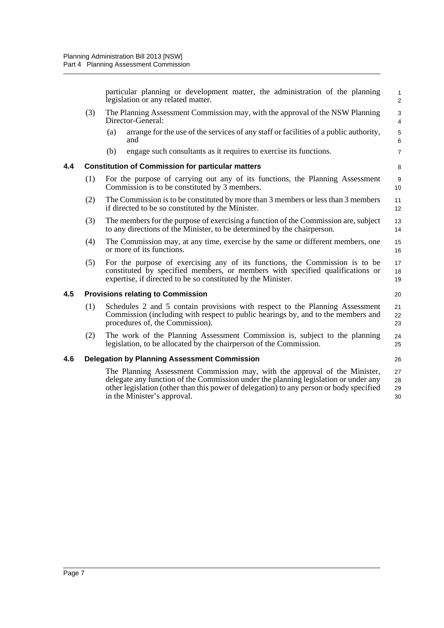<span id="page-15-2"></span><span id="page-15-1"></span><span id="page-15-0"></span>

|     |     | particular planning or development matter, the administration of the planning<br>legislation or any related matter.                                                                                                                                                                         | 1<br>$\overline{\mathbf{c}}$ |
|-----|-----|---------------------------------------------------------------------------------------------------------------------------------------------------------------------------------------------------------------------------------------------------------------------------------------------|------------------------------|
|     | (3) | The Planning Assessment Commission may, with the approval of the NSW Planning<br>Director-General:                                                                                                                                                                                          | 3<br>4                       |
|     |     | arrange for the use of the services of any staff or facilities of a public authority,<br>(a)<br>and                                                                                                                                                                                         | 5<br>6                       |
|     |     | engage such consultants as it requires to exercise its functions.<br>(b)                                                                                                                                                                                                                    | $\overline{7}$               |
| 4.4 |     | <b>Constitution of Commission for particular matters</b>                                                                                                                                                                                                                                    | 8                            |
|     | (1) | For the purpose of carrying out any of its functions, the Planning Assessment<br>Commission is to be constituted by 3 members.                                                                                                                                                              | 9<br>10                      |
|     | (2) | The Commission is to be constituted by more than 3 members or less than 3 members<br>if directed to be so constituted by the Minister.                                                                                                                                                      | 11<br>12                     |
|     | (3) | The members for the purpose of exercising a function of the Commission are, subject<br>to any directions of the Minister, to be determined by the chairperson.                                                                                                                              | 13<br>14                     |
|     | (4) | The Commission may, at any time, exercise by the same or different members, one<br>or more of its functions.                                                                                                                                                                                | 15<br>16                     |
|     | (5) | For the purpose of exercising any of its functions, the Commission is to be<br>constituted by specified members, or members with specified qualifications or<br>expertise, if directed to be so constituted by the Minister.                                                                | 17<br>18<br>19               |
| 4.5 |     | <b>Provisions relating to Commission</b>                                                                                                                                                                                                                                                    | 20                           |
|     | (1) | Schedules 2 and 5 contain provisions with respect to the Planning Assessment<br>Commission (including with respect to public hearings by, and to the members and<br>procedures of, the Commission).                                                                                         | 21<br>22<br>23               |
|     | (2) | The work of the Planning Assessment Commission is, subject to the planning<br>legislation, to be allocated by the chairperson of the Commission.                                                                                                                                            | 24<br>25                     |
| 4.6 |     | <b>Delegation by Planning Assessment Commission</b>                                                                                                                                                                                                                                         | 26                           |
|     |     | The Planning Assessment Commission may, with the approval of the Minister,<br>delegate any function of the Commission under the planning legislation or under any<br>other legislation (other than this power of delegation) to any person or body specified<br>in the Minister's approval. | 27<br>28<br>29<br>30         |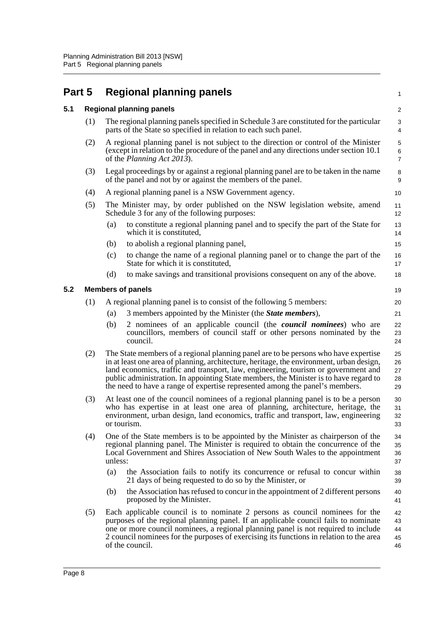# <span id="page-16-0"></span>**Part 5 Regional planning panels**  $5.1$

<span id="page-16-2"></span><span id="page-16-1"></span>

| 5.1 |     |                                                                                                                             | <b>Regional planning panels</b>                                                                                                                                                                                                                                                                                                                                                                                                                | $\sqrt{2}$                               |  |
|-----|-----|-----------------------------------------------------------------------------------------------------------------------------|------------------------------------------------------------------------------------------------------------------------------------------------------------------------------------------------------------------------------------------------------------------------------------------------------------------------------------------------------------------------------------------------------------------------------------------------|------------------------------------------|--|
|     | (1) |                                                                                                                             | The regional planning panels specified in Schedule 3 are constituted for the particular<br>parts of the State so specified in relation to each such panel.                                                                                                                                                                                                                                                                                     | $\sqrt{3}$<br>$\overline{4}$             |  |
|     | (2) |                                                                                                                             | A regional planning panel is not subject to the direction or control of the Minister<br>(except in relation to the procedure of the panel and any directions under section 10.1)<br>of the <i>Planning Act 2013</i> ).                                                                                                                                                                                                                         | $\mathbf 5$<br>$\,6\,$<br>$\overline{7}$ |  |
|     | (3) |                                                                                                                             | Legal proceedings by or against a regional planning panel are to be taken in the name<br>of the panel and not by or against the members of the panel.                                                                                                                                                                                                                                                                                          | 8<br>9                                   |  |
|     | (4) | A regional planning panel is a NSW Government agency.                                                                       |                                                                                                                                                                                                                                                                                                                                                                                                                                                |                                          |  |
|     | (5) | The Minister may, by order published on the NSW legislation website, amend<br>Schedule 3 for any of the following purposes: |                                                                                                                                                                                                                                                                                                                                                                                                                                                |                                          |  |
|     |     | (a)                                                                                                                         | to constitute a regional planning panel and to specify the part of the State for<br>which it is constituted,                                                                                                                                                                                                                                                                                                                                   | 13<br>14                                 |  |
|     |     | (b)                                                                                                                         | to abolish a regional planning panel,                                                                                                                                                                                                                                                                                                                                                                                                          | 15                                       |  |
|     |     | (c)                                                                                                                         | to change the name of a regional planning panel or to change the part of the<br>State for which it is constituted,                                                                                                                                                                                                                                                                                                                             | 16<br>17                                 |  |
|     |     | (d)                                                                                                                         | to make savings and transitional provisions consequent on any of the above.                                                                                                                                                                                                                                                                                                                                                                    | 18                                       |  |
| 5.2 |     |                                                                                                                             | <b>Members of panels</b>                                                                                                                                                                                                                                                                                                                                                                                                                       | 19                                       |  |
|     | (1) |                                                                                                                             | A regional planning panel is to consist of the following 5 members:                                                                                                                                                                                                                                                                                                                                                                            | 20                                       |  |
|     |     | (a)                                                                                                                         | 3 members appointed by the Minister (the <i>State members</i> ),                                                                                                                                                                                                                                                                                                                                                                               | 21                                       |  |
|     |     | (b)                                                                                                                         | 2 nominees of an applicable council (the <i>council nominees</i> ) who are<br>councillors, members of council staff or other persons nominated by the<br>council.                                                                                                                                                                                                                                                                              | 22<br>23<br>24                           |  |
|     | (2) |                                                                                                                             | The State members of a regional planning panel are to be persons who have expertise<br>in at least one area of planning, architecture, heritage, the environment, urban design,<br>land economics, traffic and transport, law, engineering, tourism or government and<br>public administration. In appointing State members, the Minister is to have regard to<br>the need to have a range of expertise represented among the panel's members. | 25<br>26<br>27<br>28<br>29               |  |
|     | (3) |                                                                                                                             | At least one of the council nominees of a regional planning panel is to be a person<br>who has expertise in at least one area of planning, architecture, heritage, the<br>environment, urban design, land economics, traffic and transport, law, engineering<br>or tourism.                                                                                                                                                                    | 30<br>31<br>32<br>33                     |  |
|     | (4) | unless:                                                                                                                     | One of the State members is to be appointed by the Minister as chairperson of the<br>regional planning panel. The Minister is required to obtain the concurrence of the<br>Local Government and Shires Association of New South Wales to the appointment                                                                                                                                                                                       | 34<br>35<br>36<br>37                     |  |
|     |     | (a)                                                                                                                         | the Association fails to notify its concurrence or refusal to concur within<br>21 days of being requested to do so by the Minister, or                                                                                                                                                                                                                                                                                                         | 38<br>39                                 |  |
|     |     | (b)                                                                                                                         | the Association has refused to concur in the appointment of 2 different persons<br>proposed by the Minister.                                                                                                                                                                                                                                                                                                                                   | 40<br>41                                 |  |
|     | (5) |                                                                                                                             | Each applicable council is to nominate 2 persons as council nominees for the<br>purposes of the regional planning panel. If an applicable council fails to nominate<br>one or more council nominees, a regional planning panel is not required to include<br>2 council nominees for the purposes of exercising its functions in relation to the area<br>of the council.                                                                        | 42<br>43<br>44<br>45<br>46               |  |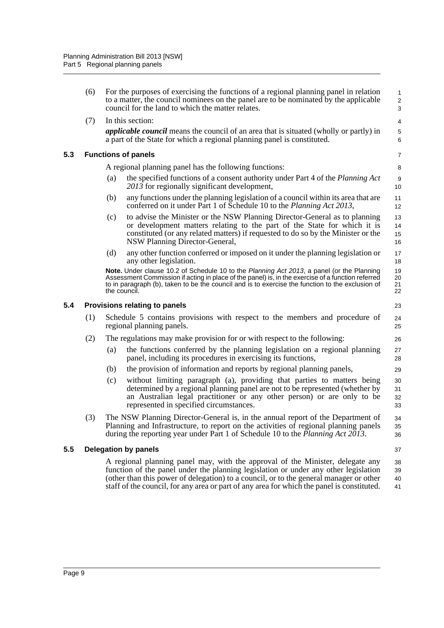<span id="page-17-2"></span><span id="page-17-1"></span><span id="page-17-0"></span>

|     | (6) |     | For the purposes of exercising the functions of a regional planning panel in relation<br>to a matter, the council nominees on the panel are to be nominated by the applicable<br>council for the land to which the matter relates.                                                                                                                            | $\mathbf{1}$<br>$\overline{c}$<br>3 |
|-----|-----|-----|---------------------------------------------------------------------------------------------------------------------------------------------------------------------------------------------------------------------------------------------------------------------------------------------------------------------------------------------------------------|-------------------------------------|
|     | (7) |     | In this section:                                                                                                                                                                                                                                                                                                                                              | $\overline{4}$                      |
|     |     |     | <i>applicable council</i> means the council of an area that is situated (wholly or partly) in<br>a part of the State for which a regional planning panel is constituted.                                                                                                                                                                                      | $\mathbf 5$<br>6                    |
| 5.3 |     |     | <b>Functions of panels</b>                                                                                                                                                                                                                                                                                                                                    | $\overline{7}$                      |
|     |     |     | A regional planning panel has the following functions:                                                                                                                                                                                                                                                                                                        | 8                                   |
|     |     | (a) | the specified functions of a consent authority under Part 4 of the Planning Act<br>2013 for regionally significant development,                                                                                                                                                                                                                               | 9<br>10                             |
|     |     | (b) | any functions under the planning legislation of a council within its area that are<br>conferred on it under Part 1 of Schedule 10 to the Planning Act 2013,                                                                                                                                                                                                   | 11<br>12                            |
|     |     | (c) | to advise the Minister or the NSW Planning Director-General as to planning<br>or development matters relating to the part of the State for which it is<br>constituted (or any related matters) if requested to do so by the Minister or the<br>NSW Planning Director-General,                                                                                 | 13<br>14<br>15<br>16                |
|     |     | (d) | any other function conferred or imposed on it under the planning legislation or<br>any other legislation.                                                                                                                                                                                                                                                     | 17<br>18                            |
|     |     |     | Note. Under clause 10.2 of Schedule 10 to the Planning Act 2013, a panel (or the Planning<br>Assessment Commission if acting in place of the panel) is, in the exercise of a function referred<br>to in paragraph (b), taken to be the council and is to exercise the function to the exclusion of<br>the council.                                            | 19<br>20<br>21<br>22                |
| 5.4 |     |     | <b>Provisions relating to panels</b>                                                                                                                                                                                                                                                                                                                          | 23                                  |
|     | (1) |     | Schedule 5 contains provisions with respect to the members and procedure of<br>regional planning panels.                                                                                                                                                                                                                                                      | 24<br>25                            |
|     | (2) |     | The regulations may make provision for or with respect to the following:                                                                                                                                                                                                                                                                                      | 26                                  |
|     |     | (a) | the functions conferred by the planning legislation on a regional planning<br>panel, including its procedures in exercising its functions,                                                                                                                                                                                                                    | 27<br>28                            |
|     |     | (b) | the provision of information and reports by regional planning panels,                                                                                                                                                                                                                                                                                         | 29                                  |
|     |     | (c) | without limiting paragraph (a), providing that parties to matters being<br>determined by a regional planning panel are not to be represented (whether by<br>an Australian legal practitioner or any other person) or are only to be<br>represented in specified circumstances.                                                                                | 30<br>31<br>32<br>33                |
|     | (3) |     | The NSW Planning Director-General is, in the annual report of the Department of<br>Planning and Infrastructure, to report on the activities of regional planning panels<br>during the reporting year under Part 1 of Schedule 10 to the Planning Act 2013.                                                                                                    | 34<br>35<br>36                      |
| 5.5 |     |     | <b>Delegation by panels</b>                                                                                                                                                                                                                                                                                                                                   | 37                                  |
|     |     |     | A regional planning panel may, with the approval of the Minister, delegate any<br>function of the panel under the planning legislation or under any other legislation<br>(other than this power of delegation) to a council, or to the general manager or other<br>staff of the council, for any area or part of any area for which the panel is constituted. | 38<br>39<br>40<br>41                |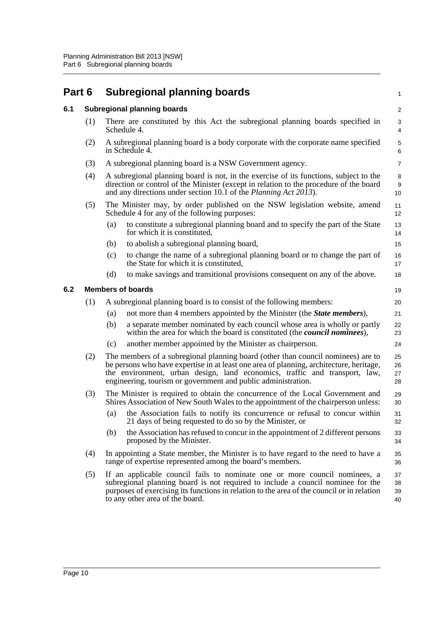<span id="page-18-2"></span><span id="page-18-1"></span><span id="page-18-0"></span>

| Part 6 |                                                      |                                                                                                                                                                                                                                                                                                                            | <b>Subregional planning boards</b>                                                                                                                                                                                                                                                             |                      |  |  |  |
|--------|------------------------------------------------------|----------------------------------------------------------------------------------------------------------------------------------------------------------------------------------------------------------------------------------------------------------------------------------------------------------------------------|------------------------------------------------------------------------------------------------------------------------------------------------------------------------------------------------------------------------------------------------------------------------------------------------|----------------------|--|--|--|
| 6.1    |                                                      |                                                                                                                                                                                                                                                                                                                            | <b>Subregional planning boards</b>                                                                                                                                                                                                                                                             |                      |  |  |  |
|        | (1)                                                  |                                                                                                                                                                                                                                                                                                                            | There are constituted by this Act the subregional planning boards specified in<br>Schedule 4.                                                                                                                                                                                                  | 3<br>4               |  |  |  |
|        | (2)                                                  |                                                                                                                                                                                                                                                                                                                            | A subregional planning board is a body corporate with the corporate name specified<br>in Schedule 4.                                                                                                                                                                                           | 5<br>6               |  |  |  |
|        | (3)                                                  |                                                                                                                                                                                                                                                                                                                            | A subregional planning board is a NSW Government agency.                                                                                                                                                                                                                                       | $\overline{7}$       |  |  |  |
|        | (4)                                                  | A subregional planning board is not, in the exercise of its functions, subject to the<br>direction or control of the Minister (except in relation to the procedure of the board<br>and any directions under section 10.1 of the <i>Planning Act 2013</i> ).                                                                |                                                                                                                                                                                                                                                                                                |                      |  |  |  |
|        | (5)<br>Schedule 4 for any of the following purposes: |                                                                                                                                                                                                                                                                                                                            | The Minister may, by order published on the NSW legislation website, amend                                                                                                                                                                                                                     | 11<br>12             |  |  |  |
|        |                                                      | (a)                                                                                                                                                                                                                                                                                                                        | to constitute a subregional planning board and to specify the part of the State<br>for which it is constituted,                                                                                                                                                                                | 13<br>14             |  |  |  |
|        |                                                      | (b)                                                                                                                                                                                                                                                                                                                        | to abolish a subregional planning board,                                                                                                                                                                                                                                                       | 15                   |  |  |  |
|        |                                                      | (c)                                                                                                                                                                                                                                                                                                                        | to change the name of a subregional planning board or to change the part of<br>the State for which it is constituted,                                                                                                                                                                          | 16<br>17             |  |  |  |
|        |                                                      | (d)                                                                                                                                                                                                                                                                                                                        | to make savings and transitional provisions consequent on any of the above.                                                                                                                                                                                                                    | 18                   |  |  |  |
| 6.2    | <b>Members of boards</b>                             |                                                                                                                                                                                                                                                                                                                            |                                                                                                                                                                                                                                                                                                |                      |  |  |  |
|        | (1)                                                  |                                                                                                                                                                                                                                                                                                                            | A subregional planning board is to consist of the following members:                                                                                                                                                                                                                           | 20                   |  |  |  |
|        |                                                      | (a)                                                                                                                                                                                                                                                                                                                        | not more than 4 members appointed by the Minister (the <i>State members</i> ),                                                                                                                                                                                                                 | 21                   |  |  |  |
|        |                                                      | (b)                                                                                                                                                                                                                                                                                                                        | a separate member nominated by each council whose area is wholly or partly<br>within the area for which the board is constituted (the <i>council nominees</i> ),                                                                                                                               | 22<br>23             |  |  |  |
|        |                                                      | (c)                                                                                                                                                                                                                                                                                                                        | another member appointed by the Minister as chairperson.                                                                                                                                                                                                                                       | 24                   |  |  |  |
|        | (2)                                                  | The members of a subregional planning board (other than council nominees) are to<br>be persons who have expertise in at least one area of planning, architecture, heritage,<br>the environment, urban design, land economics, traffic and transport, law,<br>engineering, tourism or government and public administration. |                                                                                                                                                                                                                                                                                                |                      |  |  |  |
|        | (3)                                                  |                                                                                                                                                                                                                                                                                                                            | The Minister is required to obtain the concurrence of the Local Government and<br>Shires Association of New South Wales to the appointment of the chairperson unless:                                                                                                                          | 29<br>30             |  |  |  |
|        |                                                      | (a)                                                                                                                                                                                                                                                                                                                        | the Association fails to notify its concurrence or refusal to concur within<br>21 days of being requested to do so by the Minister, or                                                                                                                                                         | 31<br>32             |  |  |  |
|        |                                                      | (b)                                                                                                                                                                                                                                                                                                                        | the Association has refused to concur in the appointment of 2 different persons<br>proposed by the Minister.                                                                                                                                                                                   | 33<br>34             |  |  |  |
|        | (4)                                                  |                                                                                                                                                                                                                                                                                                                            | In appointing a State member, the Minister is to have regard to the need to have a<br>range of expertise represented among the board's members.                                                                                                                                                | 35<br>36             |  |  |  |
|        | (5)                                                  |                                                                                                                                                                                                                                                                                                                            | If an applicable council fails to nominate one or more council nominees, a<br>subregional planning board is not required to include a council nominee for the<br>purposes of exercising its functions in relation to the area of the council or in relation<br>to any other area of the board. | 37<br>38<br>39<br>40 |  |  |  |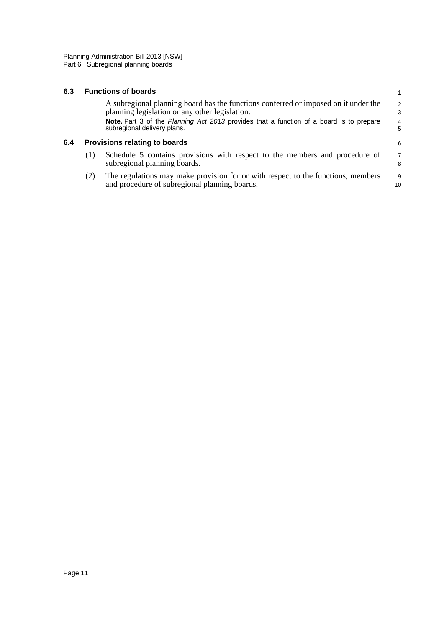#### <span id="page-19-0"></span>**6.3 Functions of boards**

<span id="page-19-1"></span>

| 6.3 |     | <b>Functions of boards</b>                                                                                                            |                     |
|-----|-----|---------------------------------------------------------------------------------------------------------------------------------------|---------------------|
|     |     | A subregional planning board has the functions conferred or imposed on it under the<br>planning legislation or any other legislation. | $\mathcal{P}$<br>3  |
|     |     | <b>Note.</b> Part 3 of the <i>Planning Act 2013</i> provides that a function of a board is to prepare<br>subregional delivery plans.  | $\overline{4}$<br>5 |
| 6.4 |     | <b>Provisions relating to boards</b>                                                                                                  | 6                   |
|     | (1) | Schedule 5 contains provisions with respect to the members and procedure of<br>subregional planning boards.                           | $\overline{7}$<br>8 |
|     | (2) | The regulations may make provision for or with respect to the functions, members                                                      | 9                   |

(2) The regulations may make provision for or with respect to the functions, members and procedure of subregional planning boards. 10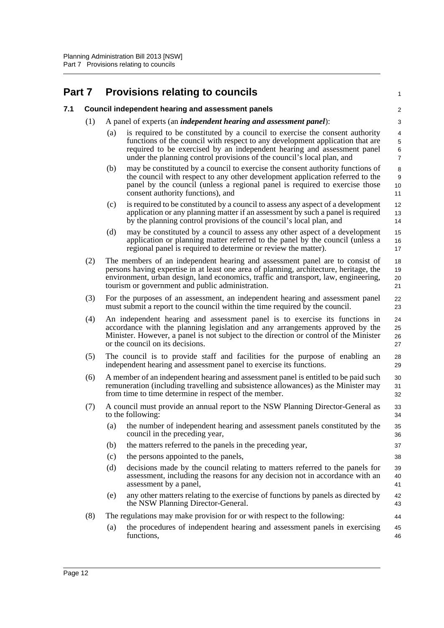<span id="page-20-1"></span><span id="page-20-0"></span>

| Part 7 |     |     | <b>Provisions relating to councils</b>                                                                                                                                                                                                                                                                             | 1                       |
|--------|-----|-----|--------------------------------------------------------------------------------------------------------------------------------------------------------------------------------------------------------------------------------------------------------------------------------------------------------------------|-------------------------|
| 7.1    |     |     | <b>Council independent hearing and assessment panels</b>                                                                                                                                                                                                                                                           | $\overline{\mathbf{c}}$ |
|        | (1) |     | A panel of experts (an <i>independent hearing and assessment panel</i> ):                                                                                                                                                                                                                                          | 3                       |
|        |     | (a) | is required to be constituted by a council to exercise the consent authority<br>functions of the council with respect to any development application that are<br>required to be exercised by an independent hearing and assessment panel<br>under the planning control provisions of the council's local plan, and | 4<br>5<br>6<br>7        |
|        |     | (b) | may be constituted by a council to exercise the consent authority functions of<br>the council with respect to any other development application referred to the<br>panel by the council (unless a regional panel is required to exercise those<br>consent authority functions), and                                | 8<br>9<br>10<br>11      |
|        |     | (c) | is required to be constituted by a council to assess any aspect of a development<br>application or any planning matter if an assessment by such a panel is required<br>by the planning control provisions of the council's local plan, and                                                                         | 12<br>13<br>14          |
|        |     | (d) | may be constituted by a council to assess any other aspect of a development<br>application or planning matter referred to the panel by the council (unless a<br>regional panel is required to determine or review the matter).                                                                                     | 15<br>16<br>17          |
|        | (2) |     | The members of an independent hearing and assessment panel are to consist of<br>persons having expertise in at least one area of planning, architecture, heritage, the<br>environment, urban design, land economics, traffic and transport, law, engineering,<br>tourism or government and public administration.  | 18<br>19<br>20<br>21    |
|        | (3) |     | For the purposes of an assessment, an independent hearing and assessment panel<br>must submit a report to the council within the time required by the council.                                                                                                                                                     | 22<br>23                |
|        | (4) |     | An independent hearing and assessment panel is to exercise its functions in<br>accordance with the planning legislation and any arrangements approved by the<br>Minister. However, a panel is not subject to the direction or control of the Minister<br>or the council on its decisions.                          | 24<br>25<br>26<br>27    |
|        | (5) |     | The council is to provide staff and facilities for the purpose of enabling an<br>independent hearing and assessment panel to exercise its functions.                                                                                                                                                               | 28<br>29                |
|        | (6) |     | A member of an independent hearing and assessment panel is entitled to be paid such<br>remuneration (including travelling and subsistence allowances) as the Minister may<br>from time to time determine in respect of the member.                                                                                 | 30<br>31<br>32          |
|        | (7) |     | A council must provide an annual report to the NSW Planning Director-General as<br>to the following:                                                                                                                                                                                                               | 33<br>34                |
|        |     | (a) | the number of independent hearing and assessment panels constituted by the<br>council in the preceding year,                                                                                                                                                                                                       | 35<br>36                |
|        |     | (b) | the matters referred to the panels in the preceding year,                                                                                                                                                                                                                                                          | 37                      |
|        |     | (c) | the persons appointed to the panels,                                                                                                                                                                                                                                                                               | 38                      |
|        |     | (d) | decisions made by the council relating to matters referred to the panels for<br>assessment, including the reasons for any decision not in accordance with an<br>assessment by a panel,                                                                                                                             | 39<br>40<br>41          |
|        |     | (e) | any other matters relating to the exercise of functions by panels as directed by<br>the NSW Planning Director-General.                                                                                                                                                                                             | 42<br>43                |
|        | (8) |     | The regulations may make provision for or with respect to the following:                                                                                                                                                                                                                                           | 44                      |
|        |     | (a) | the procedures of independent hearing and assessment panels in exercising<br>functions,                                                                                                                                                                                                                            | 45<br>46                |
|        |     |     |                                                                                                                                                                                                                                                                                                                    |                         |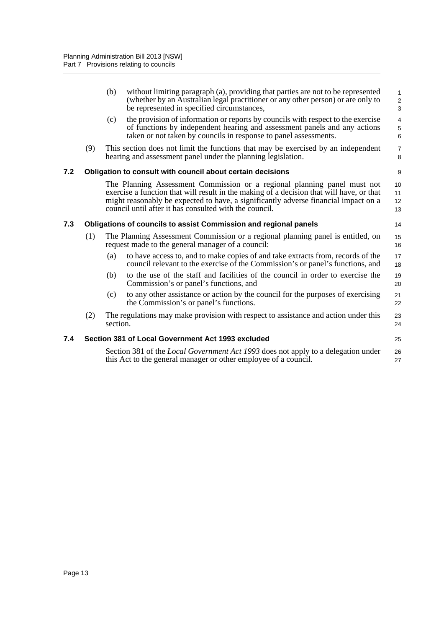<span id="page-21-2"></span><span id="page-21-1"></span><span id="page-21-0"></span>

|     |     | (b)      | without limiting paragraph (a), providing that parties are not to be represented<br>(whether by an Australian legal practitioner or any other person) or are only to<br>be represented in specified circumstances,                                                                                                    | 1<br>$\overline{\mathbf{c}}$<br>3 |
|-----|-----|----------|-----------------------------------------------------------------------------------------------------------------------------------------------------------------------------------------------------------------------------------------------------------------------------------------------------------------------|-----------------------------------|
|     |     | (c)      | the provision of information or reports by councils with respect to the exercise<br>of functions by independent hearing and assessment panels and any actions<br>taken or not taken by councils in response to panel assessments.                                                                                     | $\overline{\mathbf{4}}$<br>5<br>6 |
|     | (9) |          | This section does not limit the functions that may be exercised by an independent<br>hearing and assessment panel under the planning legislation.                                                                                                                                                                     | $\overline{7}$<br>8               |
| 7.2 |     |          | Obligation to consult with council about certain decisions                                                                                                                                                                                                                                                            | 9                                 |
|     |     |          | The Planning Assessment Commission or a regional planning panel must not<br>exercise a function that will result in the making of a decision that will have, or that<br>might reasonably be expected to have, a significantly adverse financial impact on a<br>council until after it has consulted with the council. | 10<br>11<br>12<br>13              |
| 7.3 |     |          | Obligations of councils to assist Commission and regional panels                                                                                                                                                                                                                                                      | 14                                |
|     | (1) |          | The Planning Assessment Commission or a regional planning panel is entitled, on<br>request made to the general manager of a council:                                                                                                                                                                                  | 15<br>16                          |
|     |     | (a)      | to have access to, and to make copies of and take extracts from, records of the<br>council relevant to the exercise of the Commission's or panel's functions, and                                                                                                                                                     | 17<br>18                          |
|     |     | (b)      | to the use of the staff and facilities of the council in order to exercise the<br>Commission's or panel's functions, and                                                                                                                                                                                              | 19<br>20                          |
|     |     | (c)      | to any other assistance or action by the council for the purposes of exercising<br>the Commission's or panel's functions.                                                                                                                                                                                             | 21<br>22                          |
|     | (2) | section. | The regulations may make provision with respect to assistance and action under this                                                                                                                                                                                                                                   | 23<br>24                          |
| 7.4 |     |          | Section 381 of Local Government Act 1993 excluded                                                                                                                                                                                                                                                                     | 25                                |
|     |     |          | Section 381 of the <i>Local Government Act 1993</i> does not apply to a delegation under<br>this Act to the general manager or other employee of a council.                                                                                                                                                           | 26<br>27                          |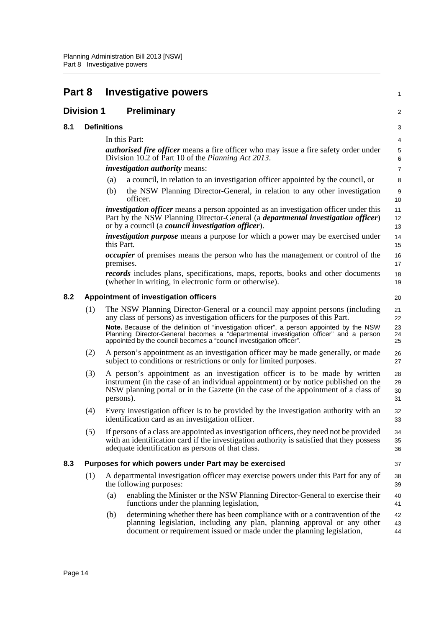<span id="page-22-4"></span><span id="page-22-3"></span><span id="page-22-2"></span><span id="page-22-1"></span><span id="page-22-0"></span>

| Part 8 |                    |               | <b>Investigative powers</b>                                                                                                                                                                                                                               | 1                       |
|--------|--------------------|---------------|-----------------------------------------------------------------------------------------------------------------------------------------------------------------------------------------------------------------------------------------------------------|-------------------------|
|        | <b>Division 1</b>  |               | <b>Preliminary</b>                                                                                                                                                                                                                                        | $\overline{\mathbf{c}}$ |
| 8.1    | <b>Definitions</b> |               |                                                                                                                                                                                                                                                           | 3                       |
|        |                    | In this Part: |                                                                                                                                                                                                                                                           | 4                       |
|        |                    |               | <b><i>authorised fire officer</i></b> means a fire officer who may issue a fire safety order under<br>Division 10.2 of Part 10 of the Planning Act 2013.                                                                                                  | 5<br>6                  |
|        |                    |               | <i>investigation authority means:</i>                                                                                                                                                                                                                     | 7                       |
|        |                    | (a)           | a council, in relation to an investigation officer appointed by the council, or                                                                                                                                                                           | 8                       |
|        |                    | (b)           | the NSW Planning Director-General, in relation to any other investigation<br>officer.                                                                                                                                                                     | 9<br>10                 |
|        |                    |               | investigation officer means a person appointed as an investigation officer under this<br>Part by the NSW Planning Director-General (a <i>departmental investigation officer</i> )<br>or by a council (a <i>council investigation officer</i> ).           | 11<br>12<br>13          |
|        |                    | this Part.    | <i>investigation purpose</i> means a purpose for which a power may be exercised under                                                                                                                                                                     | 14<br>15                |
|        |                    | premises.     | <i>occupier</i> of premises means the person who has the management or control of the                                                                                                                                                                     | 16<br>17                |
|        |                    |               | <i>records</i> includes plans, specifications, maps, reports, books and other documents<br>(whether in writing, in electronic form or otherwise).                                                                                                         | 18<br>19                |
| 8.2    |                    |               | Appointment of investigation officers                                                                                                                                                                                                                     | 20                      |
|        | (1)                |               | The NSW Planning Director-General or a council may appoint persons (including<br>any class of persons) as investigation officers for the purposes of this Part.                                                                                           | 21<br>22                |
|        |                    |               | Note. Because of the definition of "investigation officer", a person appointed by the NSW<br>Planning Director-General becomes a "departmental investigation officer" and a person<br>appointed by the council becomes a "council investigation officer". | 23<br>24<br>25          |
|        | (2)                |               | A person's appointment as an investigation officer may be made generally, or made<br>subject to conditions or restrictions or only for limited purposes.                                                                                                  | 26<br>27                |
|        | (3)                | persons).     | A person's appointment as an investigation officer is to be made by written<br>instrument (in the case of an individual appointment) or by notice published on the<br>NSW planning portal or in the Gazette (in the case of the appointment of a class of | 28<br>29<br>30<br>31    |
|        | (4)                |               | Every investigation officer is to be provided by the investigation authority with an<br>identification card as an investigation officer.                                                                                                                  | 32<br>33                |
|        | (5)                |               | If persons of a class are appointed as investigation officers, they need not be provided<br>with an identification card if the investigation authority is satisfied that they possess<br>adequate identification as persons of that class.                | 34<br>35<br>36          |
| 8.3    |                    |               | Purposes for which powers under Part may be exercised                                                                                                                                                                                                     | 37                      |
|        | (1)                |               | A departmental investigation officer may exercise powers under this Part for any of<br>the following purposes:                                                                                                                                            | 38<br>39                |
|        |                    | (a)           | enabling the Minister or the NSW Planning Director-General to exercise their<br>functions under the planning legislation,                                                                                                                                 | 40<br>41                |
|        |                    | (b)           | determining whether there has been compliance with or a contravention of the<br>planning legislation, including any plan, planning approval or any other<br>document or requirement issued or made under the planning legislation,                        | 42<br>43<br>44          |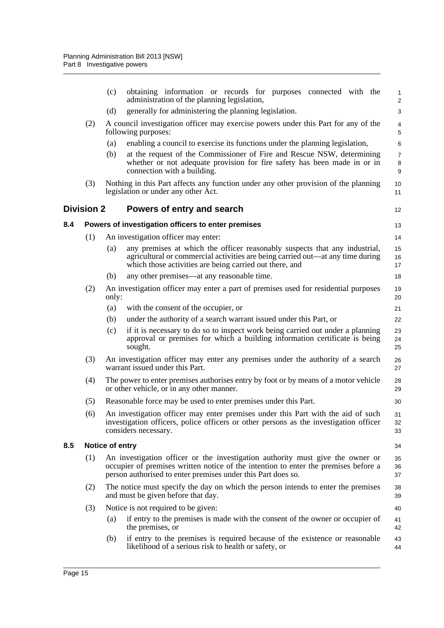<span id="page-23-2"></span><span id="page-23-1"></span><span id="page-23-0"></span>

|     |                   | (c)             | obtaining information or records for purposes connected with the<br>administration of the planning legislation,                                                                                                                       | 1<br>$\overline{\mathbf{c}}$ |
|-----|-------------------|-----------------|---------------------------------------------------------------------------------------------------------------------------------------------------------------------------------------------------------------------------------------|------------------------------|
|     |                   | (d)             | generally for administering the planning legislation.                                                                                                                                                                                 | 3                            |
|     | (2)               |                 | A council investigation officer may exercise powers under this Part for any of the<br>following purposes:                                                                                                                             | 4<br>5                       |
|     |                   | (a)             | enabling a council to exercise its functions under the planning legislation,                                                                                                                                                          | 6                            |
|     |                   | (b)             | at the request of the Commissioner of Fire and Rescue NSW, determining<br>whether or not adequate provision for fire safety has been made in or in<br>connection with a building.                                                     | 7<br>8<br>9                  |
|     | (3)               |                 | Nothing in this Part affects any function under any other provision of the planning<br>legislation or under any other Act.                                                                                                            | 10<br>11                     |
|     | <b>Division 2</b> |                 | Powers of entry and search                                                                                                                                                                                                            | 12                           |
| 8.4 |                   |                 | Powers of investigation officers to enter premises                                                                                                                                                                                    | 13                           |
|     | (1)               |                 | An investigation officer may enter:                                                                                                                                                                                                   | 14                           |
|     |                   | (a)             | any premises at which the officer reasonably suspects that any industrial,<br>agricultural or commercial activities are being carried out—at any time during<br>which those activities are being carried out there, and               | 15<br>16<br>17               |
|     |                   | (b)             | any other premises—at any reasonable time.                                                                                                                                                                                            | 18                           |
|     | (2)               | only:           | An investigation officer may enter a part of premises used for residential purposes                                                                                                                                                   | 19<br>20                     |
|     |                   | (a)             | with the consent of the occupier, or                                                                                                                                                                                                  | 21                           |
|     |                   | (b)             | under the authority of a search warrant issued under this Part, or                                                                                                                                                                    | 22                           |
|     |                   | (c)             | if it is necessary to do so to inspect work being carried out under a planning<br>approval or premises for which a building information certificate is being<br>sought.                                                               | 23<br>24<br>25               |
|     | (3)               |                 | An investigation officer may enter any premises under the authority of a search<br>warrant issued under this Part.                                                                                                                    | 26<br>27                     |
|     | (4)               |                 | The power to enter premises authorises entry by foot or by means of a motor vehicle<br>or other vehicle, or in any other manner.                                                                                                      | 28<br>29                     |
|     | (5)               |                 | Reasonable force may be used to enter premises under this Part.                                                                                                                                                                       | 30                           |
|     | (6)               |                 | An investigation officer may enter premises under this Part with the aid of such<br>investigation officers, police officers or other persons as the investigation officer<br>considers necessary.                                     | 31<br>32<br>33               |
| 8.5 |                   | Notice of entry |                                                                                                                                                                                                                                       | 34                           |
|     | (1)               |                 | An investigation officer or the investigation authority must give the owner or<br>occupier of premises written notice of the intention to enter the premises before a<br>person authorised to enter premises under this Part does so. | 35<br>36<br>37               |
|     | (2)               |                 | The notice must specify the day on which the person intends to enter the premises<br>and must be given before that day.                                                                                                               | 38<br>39                     |
|     | (3)               |                 | Notice is not required to be given:                                                                                                                                                                                                   | 40                           |
|     |                   | (a)             | if entry to the premises is made with the consent of the owner or occupier of<br>the premises, or                                                                                                                                     | 41<br>42                     |
|     |                   | (b)             | if entry to the premises is required because of the existence or reasonable<br>likelihood of a serious risk to health or safety, or                                                                                                   | 43<br>44                     |
|     |                   |                 |                                                                                                                                                                                                                                       |                              |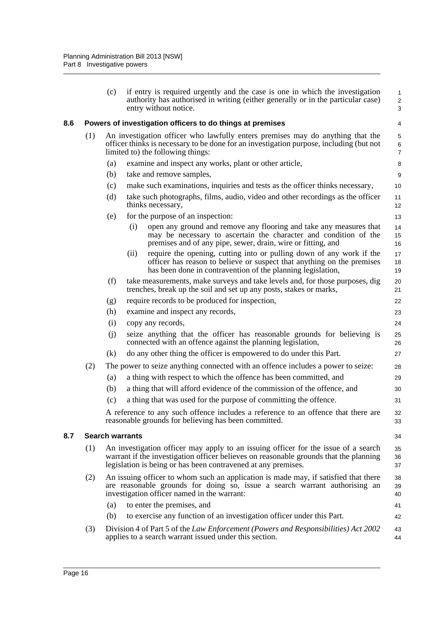<span id="page-24-0"></span>

|     |     | (c)                    | if entry is required urgently and the case is one in which the investigation<br>authority has authorised in writing (either generally or in the particular case)<br>entry without notice.                                                    | 1<br>$\overline{\mathbf{c}}$<br>3 |
|-----|-----|------------------------|----------------------------------------------------------------------------------------------------------------------------------------------------------------------------------------------------------------------------------------------|-----------------------------------|
| 8.6 |     |                        | Powers of investigation officers to do things at premises                                                                                                                                                                                    | 4                                 |
|     | (1) |                        | An investigation officer who lawfully enters premises may do anything that the<br>officer thinks is necessary to be done for an investigation purpose, including (but not<br>limited to) the following things:                               | 5<br>6<br>$\overline{7}$          |
|     |     | (a)                    | examine and inspect any works, plant or other article,                                                                                                                                                                                       | 8                                 |
|     |     | (b)                    | take and remove samples,                                                                                                                                                                                                                     | 9                                 |
|     |     | (c)                    | make such examinations, inquiries and tests as the officer thinks necessary,                                                                                                                                                                 | 10                                |
|     |     | (d)                    | take such photographs, films, audio, video and other recordings as the officer<br>thinks necessary,                                                                                                                                          | 11<br>12                          |
|     |     | (e)                    | for the purpose of an inspection:                                                                                                                                                                                                            | 13                                |
|     |     |                        | open any ground and remove any flooring and take any measures that<br>(i)<br>may be necessary to ascertain the character and condition of the<br>premises and of any pipe, sewer, drain, wire or fitting, and                                | 14<br>15<br>16                    |
|     |     |                        | require the opening, cutting into or pulling down of any work if the<br>(ii)<br>officer has reason to believe or suspect that anything on the premises<br>has been done in contravention of the planning legislation,                        | 17<br>18<br>19                    |
|     |     | (f)                    | take measurements, make surveys and take levels and, for those purposes, dig<br>trenches, break up the soil and set up any posts, stakes or marks,                                                                                           | 20<br>21                          |
|     |     | (g)                    | require records to be produced for inspection,                                                                                                                                                                                               | 22                                |
|     |     | (h)                    | examine and inspect any records,                                                                                                                                                                                                             | 23                                |
|     |     | (i)                    | copy any records,                                                                                                                                                                                                                            | 24                                |
|     |     | (i)                    | seize anything that the officer has reasonable grounds for believing is<br>connected with an offence against the planning legislation,                                                                                                       | 25<br>26                          |
|     |     | (k)                    | do any other thing the officer is empowered to do under this Part.                                                                                                                                                                           | 27                                |
|     | (2) |                        | The power to seize anything connected with an offence includes a power to seize:                                                                                                                                                             | 28                                |
|     |     | (a)                    | a thing with respect to which the offence has been committed, and                                                                                                                                                                            | 29                                |
|     |     | (b)                    | a thing that will afford evidence of the commission of the offence, and                                                                                                                                                                      | 30                                |
|     |     | (c)                    | a thing that was used for the purpose of committing the offence.                                                                                                                                                                             | 31                                |
|     |     |                        | A reference to any such offence includes a reference to an offence that there are<br>reasonable grounds for believing has been committed.                                                                                                    | 32<br>33                          |
| 8.7 |     | <b>Search warrants</b> |                                                                                                                                                                                                                                              | 34                                |
|     | (1) |                        | An investigation officer may apply to an issuing officer for the issue of a search<br>warrant if the investigation officer believes on reasonable grounds that the planning<br>legislation is being or has been contravened at any premises. | 35<br>36<br>37                    |
|     | (2) |                        | An issuing officer to whom such an application is made may, if satisfied that there<br>are reasonable grounds for doing so, issue a search warrant authorising an<br>investigation officer named in the warrant:                             | 38<br>39<br>40                    |
|     |     | (a)                    | to enter the premises, and                                                                                                                                                                                                                   | 41                                |
|     |     | (b)                    | to exercise any function of an investigation officer under this Part.                                                                                                                                                                        | 42                                |
|     | (3) |                        | Division 4 of Part 5 of the Law Enforcement (Powers and Responsibilities) Act 2002<br>applies to a search warrant issued under this section.                                                                                                 | 43<br>44                          |

<span id="page-24-1"></span>**8.7 Search warrants**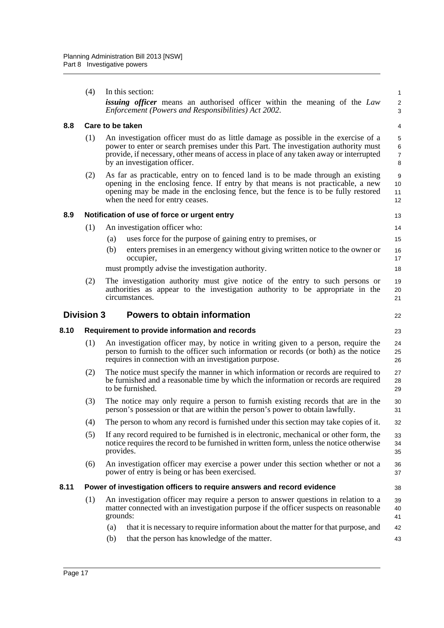<span id="page-25-4"></span><span id="page-25-3"></span><span id="page-25-2"></span><span id="page-25-1"></span><span id="page-25-0"></span>

| (4)<br>In this section:<br><i>issuing officer</i> means an authorised officer within the meaning of the Law<br>Enforcement (Powers and Responsibilities) Act 2002.<br>8.8<br>Care to be taken<br>(1)<br>An investigation officer must do as little damage as possible in the exercise of a<br>power to enter or search premises under this Part. The investigation authority must<br>provide, if necessary, other means of access in place of any taken away or interrupted<br>by an investigation officer. | $\mathbf{1}$                               |
|-------------------------------------------------------------------------------------------------------------------------------------------------------------------------------------------------------------------------------------------------------------------------------------------------------------------------------------------------------------------------------------------------------------------------------------------------------------------------------------------------------------|--------------------------------------------|
|                                                                                                                                                                                                                                                                                                                                                                                                                                                                                                             |                                            |
|                                                                                                                                                                                                                                                                                                                                                                                                                                                                                                             | $\overline{\mathbf{c}}$<br>3               |
|                                                                                                                                                                                                                                                                                                                                                                                                                                                                                                             | 4                                          |
|                                                                                                                                                                                                                                                                                                                                                                                                                                                                                                             | 5<br>$6\phantom{a}$<br>$\overline{7}$<br>8 |
| As far as practicable, entry on to fenced land is to be made through an existing<br>(2)<br>opening in the enclosing fence. If entry by that means is not practicable, a new<br>opening may be made in the enclosing fence, but the fence is to be fully restored<br>when the need for entry ceases.                                                                                                                                                                                                         | 9<br>10<br>11<br>12                        |
| 8.9<br>Notification of use of force or urgent entry                                                                                                                                                                                                                                                                                                                                                                                                                                                         | 13                                         |
| (1)<br>An investigation officer who:                                                                                                                                                                                                                                                                                                                                                                                                                                                                        | 14                                         |
| uses force for the purpose of gaining entry to premises, or<br>(a)                                                                                                                                                                                                                                                                                                                                                                                                                                          | 15                                         |
| (b)<br>enters premises in an emergency without giving written notice to the owner or<br>occupier,                                                                                                                                                                                                                                                                                                                                                                                                           | 16<br>17                                   |
| must promptly advise the investigation authority.                                                                                                                                                                                                                                                                                                                                                                                                                                                           | 18                                         |
| (2)<br>The investigation authority must give notice of the entry to such persons or<br>authorities as appear to the investigation authority to be appropriate in the<br>circumstances.                                                                                                                                                                                                                                                                                                                      | 19<br>20<br>21                             |
| <b>Division 3</b><br><b>Powers to obtain information</b>                                                                                                                                                                                                                                                                                                                                                                                                                                                    | 22                                         |
| Requirement to provide information and records<br>8.10                                                                                                                                                                                                                                                                                                                                                                                                                                                      | 23                                         |
| An investigation officer may, by notice in writing given to a person, require the<br>(1)<br>person to furnish to the officer such information or records (or both) as the notice<br>requires in connection with an investigation purpose.                                                                                                                                                                                                                                                                   | 24<br>25<br>26                             |
| The notice must specify the manner in which information or records are required to<br>(2)<br>be furnished and a reasonable time by which the information or records are required<br>to be furnished.                                                                                                                                                                                                                                                                                                        | 27<br>28<br>29                             |
|                                                                                                                                                                                                                                                                                                                                                                                                                                                                                                             | 30                                         |
| The notice may only require a person to furnish existing records that are in the<br>(3)<br>person's possession or that are within the person's power to obtain lawfully.                                                                                                                                                                                                                                                                                                                                    | 31                                         |
| (4)<br>The person to whom any record is furnished under this section may take copies of it.                                                                                                                                                                                                                                                                                                                                                                                                                 | 32                                         |
| (5)<br>If any record required to be furnished is in electronic, mechanical or other form, the<br>notice requires the record to be furnished in written form, unless the notice otherwise<br>provides.                                                                                                                                                                                                                                                                                                       | 33<br>34<br>35                             |
| An investigation officer may exercise a power under this section whether or not a<br>(6)<br>power of entry is being or has been exercised.                                                                                                                                                                                                                                                                                                                                                                  | 36<br>37                                   |
| 8.11<br>Power of investigation officers to require answers and record evidence                                                                                                                                                                                                                                                                                                                                                                                                                              | 38                                         |
| An investigation officer may require a person to answer questions in relation to a<br>(1)<br>matter connected with an investigation purpose if the officer suspects on reasonable<br>grounds:                                                                                                                                                                                                                                                                                                               | 39<br>40<br>41                             |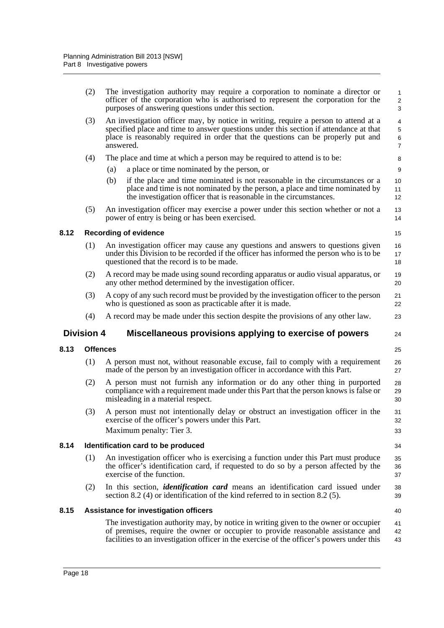<span id="page-26-4"></span><span id="page-26-3"></span><span id="page-26-2"></span><span id="page-26-1"></span><span id="page-26-0"></span>

|      | (2)               | The investigation authority may require a corporation to nominate a director or<br>officer of the corporation who is authorised to represent the corporation for the<br>purposes of answering questions under this section.                                                   | 1<br>$\overline{\mathbf{c}}$<br>3 |
|------|-------------------|-------------------------------------------------------------------------------------------------------------------------------------------------------------------------------------------------------------------------------------------------------------------------------|-----------------------------------|
|      | (3)               | An investigation officer may, by notice in writing, require a person to attend at a<br>specified place and time to answer questions under this section if attendance at that<br>place is reasonably required in order that the questions can be properly put and<br>answered. | 4<br>5<br>6<br>7                  |
|      | (4)               | The place and time at which a person may be required to attend is to be:                                                                                                                                                                                                      | 8                                 |
|      |                   | a place or time nominated by the person, or<br>(a)                                                                                                                                                                                                                            | 9                                 |
|      |                   | (b)<br>if the place and time nominated is not reasonable in the circumstances or a<br>place and time is not nominated by the person, a place and time nominated by<br>the investigation officer that is reasonable in the circumstances.                                      | 10<br>11<br>12                    |
|      | (5)               | An investigation officer may exercise a power under this section whether or not a<br>power of entry is being or has been exercised.                                                                                                                                           | 13<br>14                          |
| 8.12 |                   | <b>Recording of evidence</b>                                                                                                                                                                                                                                                  | 15                                |
|      | (1)               | An investigation officer may cause any questions and answers to questions given<br>under this Division to be recorded if the officer has informed the person who is to be<br>questioned that the record is to be made.                                                        | 16<br>17<br>18                    |
|      | (2)               | A record may be made using sound recording apparatus or audio visual apparatus, or<br>any other method determined by the investigation officer.                                                                                                                               | 19<br>20                          |
|      | (3)               | A copy of any such record must be provided by the investigation officer to the person<br>who is questioned as soon as practicable after it is made.                                                                                                                           | 21<br>22                          |
|      | (4)               | A record may be made under this section despite the provisions of any other law.                                                                                                                                                                                              | 23                                |
|      | <b>Division 4</b> | Miscellaneous provisions applying to exercise of powers                                                                                                                                                                                                                       | 24                                |
| 8.13 |                   | <b>Offences</b>                                                                                                                                                                                                                                                               | 25                                |
|      | (1)               | A person must not, without reasonable excuse, fail to comply with a requirement<br>made of the person by an investigation officer in accordance with this Part.                                                                                                               | 26<br>27                          |
|      | (2)               | A person must not furnish any information or do any other thing in purported<br>compliance with a requirement made under this Part that the person knows is false or<br>misleading in a material respect.                                                                     | 28<br>29<br>30                    |
|      | (3)               | A person must not intentionally delay or obstruct an investigation officer in the<br>exercise of the officer's powers under this Part.<br>Maximum penalty: Tier 3.                                                                                                            | 31<br>32<br>33                    |
| 8.14 |                   | Identification card to be produced                                                                                                                                                                                                                                            | 34                                |
|      | (1)               | An investigation officer who is exercising a function under this Part must produce                                                                                                                                                                                            | 35                                |
|      |                   | the officer's identification card, if requested to do so by a person affected by the<br>exercise of the function.                                                                                                                                                             | 36<br>37                          |
|      | (2)               | In this section, <i>identification card</i> means an identification card issued under<br>section 8.2 (4) or identification of the kind referred to in section 8.2 (5).                                                                                                        | 38<br>39                          |
| 8.15 |                   | Assistance for investigation officers                                                                                                                                                                                                                                         | 40                                |
|      |                   | The investigation authority may, by notice in writing given to the owner or occupier<br>of premises, require the owner or occupier to provide reasonable assistance and<br>facilities to an investigation officer in the exercise of the officer's powers under this          | 41<br>42<br>43                    |
|      |                   |                                                                                                                                                                                                                                                                               |                                   |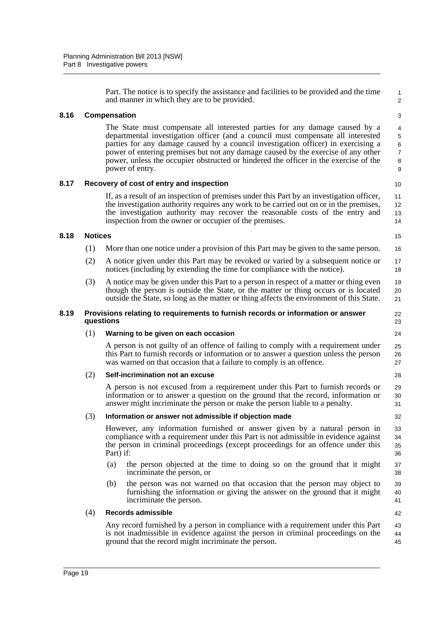Part. The notice is to specify the assistance and facilities to be provided and the time and manner in which they are to be provided.

#### <span id="page-27-0"></span>**8.16 Compensation**

The State must compensate all interested parties for any damage caused by a departmental investigation officer (and a council must compensate all interested parties for any damage caused by a council investigation officer) in exercising a power of entering premises but not any damage caused by the exercise of any other power, unless the occupier obstructed or hindered the officer in the exercise of the power of entry.

#### <span id="page-27-1"></span>**8.17 Recovery of cost of entry and inspection**

If, as a result of an inspection of premises under this Part by an investigation officer, the investigation authority requires any work to be carried out on or in the premises, the investigation authority may recover the reasonable costs of the entry and inspection from the owner or occupier of the premises.

#### <span id="page-27-2"></span>**8.18 Notices**

- (1) More than one notice under a provision of this Part may be given to the same person.
- (2) A notice given under this Part may be revoked or varied by a subsequent notice or notices (including by extending the time for compliance with the notice). 17 18
- (3) A notice may be given under this Part to a person in respect of a matter or thing even though the person is outside the State, or the matter or thing occurs or is located outside the State, so long as the matter or thing affects the environment of this State. 19

#### <span id="page-27-3"></span>**8.19 Provisions relating to requirements to furnish records or information or answer questions**

#### (1) **Warning to be given on each occasion**

A person is not guilty of an offence of failing to comply with a requirement under this Part to furnish records or information or to answer a question unless the person was warned on that occasion that a failure to comply is an offence.

#### (2) **Self-incrimination not an excuse**

A person is not excused from a requirement under this Part to furnish records or information or to answer a question on the ground that the record, information or answer might incriminate the person or make the person liable to a penalty.

#### (3) **Information or answer not admissible if objection made**

However, any information furnished or answer given by a natural person in compliance with a requirement under this Part is not admissible in evidence against the person in criminal proceedings (except proceedings for an offence under this Part) if: 33 34 35 36

- (a) the person objected at the time to doing so on the ground that it might incriminate the person, or 37 38
- (b) the person was not warned on that occasion that the person may object to furnishing the information or giving the answer on the ground that it might incriminate the person. 39 40 41

#### (4) **Records admissible**

Any record furnished by a person in compliance with a requirement under this Part is not inadmissible in evidence against the person in criminal proceedings on the ground that the record might incriminate the person. 43 44 45

10 11 12

13 14

15 16

1 2

20 21

22 23 24

25 26 27

28 29

> 30 31 32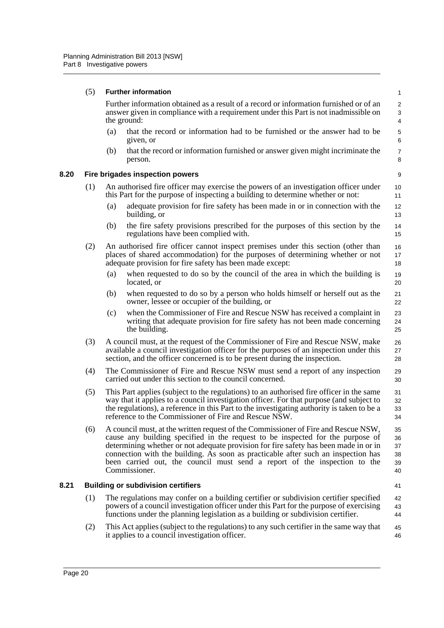#### (5) **Further information**

Further information obtained as a result of a record or information furnished or of an answer given in compliance with a requirement under this Part is not inadmissible on the ground:

41

- (a) that the record or information had to be furnished or the answer had to be given, or
- (b) that the record or information furnished or answer given might incriminate the person.

#### <span id="page-28-0"></span>**8.20 Fire brigades inspection powers**

- (1) An authorised fire officer may exercise the powers of an investigation officer under this Part for the purpose of inspecting a building to determine whether or not:
	- (a) adequate provision for fire safety has been made in or in connection with the building, or
	- (b) the fire safety provisions prescribed for the purposes of this section by the regulations have been complied with.
- (2) An authorised fire officer cannot inspect premises under this section (other than places of shared accommodation) for the purposes of determining whether or not adequate provision for fire safety has been made except:
	- (a) when requested to do so by the council of the area in which the building is located, or
	- (b) when requested to do so by a person who holds himself or herself out as the owner, lessee or occupier of the building, or
	- (c) when the Commissioner of Fire and Rescue NSW has received a complaint in writing that adequate provision for fire safety has not been made concerning the building.
- (3) A council must, at the request of the Commissioner of Fire and Rescue NSW, make available a council investigation officer for the purposes of an inspection under this section, and the officer concerned is to be present during the inspection. 26 27 28
- (4) The Commissioner of Fire and Rescue NSW must send a report of any inspection carried out under this section to the council concerned. 29 30
- (5) This Part applies (subject to the regulations) to an authorised fire officer in the same way that it applies to a council investigation officer. For that purpose (and subject to the regulations), a reference in this Part to the investigating authority is taken to be a reference to the Commissioner of Fire and Rescue NSW. 31 32 33 34
- (6) A council must, at the written request of the Commissioner of Fire and Rescue NSW, cause any building specified in the request to be inspected for the purpose of determining whether or not adequate provision for fire safety has been made in or in connection with the building. As soon as practicable after such an inspection has been carried out, the council must send a report of the inspection to the Commissioner. 35 36 37 38 39 40

#### <span id="page-28-1"></span>**8.21 Building or subdivision certifiers**

- (1) The regulations may confer on a building certifier or subdivision certifier specified powers of a council investigation officer under this Part for the purpose of exercising functions under the planning legislation as a building or subdivision certifier. 42 43 44
- (2) This Act applies (subject to the regulations) to any such certifier in the same way that it applies to a council investigation officer. 45 46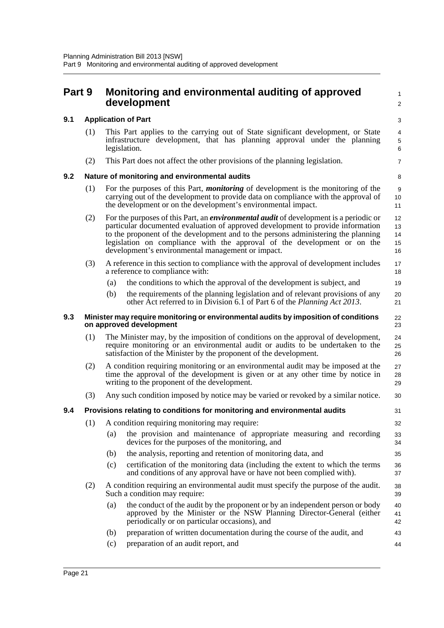<span id="page-29-4"></span><span id="page-29-3"></span><span id="page-29-2"></span><span id="page-29-1"></span><span id="page-29-0"></span>

| Part 9 |     |                            | Monitoring and environmental auditing of approved<br>development                                                                                                                                                                                                                                                                                                                                      | $\mathbf{1}$<br>2          |  |  |  |
|--------|-----|----------------------------|-------------------------------------------------------------------------------------------------------------------------------------------------------------------------------------------------------------------------------------------------------------------------------------------------------------------------------------------------------------------------------------------------------|----------------------------|--|--|--|
| 9.1    |     | <b>Application of Part</b> |                                                                                                                                                                                                                                                                                                                                                                                                       |                            |  |  |  |
|        | (1) |                            | This Part applies to the carrying out of State significant development, or State<br>infrastructure development, that has planning approval under the planning<br>legislation.                                                                                                                                                                                                                         | 4<br>$\,$ 5 $\,$<br>6      |  |  |  |
|        | (2) |                            | This Part does not affect the other provisions of the planning legislation.                                                                                                                                                                                                                                                                                                                           | $\overline{7}$             |  |  |  |
| 9.2    |     |                            | Nature of monitoring and environmental audits                                                                                                                                                                                                                                                                                                                                                         | 8                          |  |  |  |
|        | (1) |                            | For the purposes of this Part, <i>monitoring</i> of development is the monitoring of the<br>carrying out of the development to provide data on compliance with the approval of<br>the development or on the development's environmental impact.                                                                                                                                                       | 9<br>10<br>11              |  |  |  |
|        | (2) |                            | For the purposes of this Part, an <i>environmental audit</i> of development is a periodic or<br>particular documented evaluation of approved development to provide information<br>to the proponent of the development and to the persons administering the planning<br>legislation on compliance with the approval of the development or on the<br>development's environmental management or impact. | 12<br>13<br>14<br>15<br>16 |  |  |  |
|        | (3) |                            | A reference in this section to compliance with the approval of development includes<br>a reference to compliance with:                                                                                                                                                                                                                                                                                | 17<br>18                   |  |  |  |
|        |     | (a)                        | the conditions to which the approval of the development is subject, and                                                                                                                                                                                                                                                                                                                               | 19                         |  |  |  |
|        |     | (b)                        | the requirements of the planning legislation and of relevant provisions of any<br>other Act referred to in Division 6.1 of Part 6 of the Planning Act 2013.                                                                                                                                                                                                                                           | 20<br>21                   |  |  |  |
| 9.3    |     |                            | Minister may require monitoring or environmental audits by imposition of conditions<br>on approved development                                                                                                                                                                                                                                                                                        | 22<br>23                   |  |  |  |
|        | (1) |                            | The Minister may, by the imposition of conditions on the approval of development,<br>require monitoring or an environmental audit or audits to be undertaken to the<br>satisfaction of the Minister by the proponent of the development.                                                                                                                                                              | 24<br>25<br>26             |  |  |  |
|        | (2) |                            | A condition requiring monitoring or an environmental audit may be imposed at the<br>time the approval of the development is given or at any other time by notice in<br>writing to the proponent of the development.                                                                                                                                                                                   | 27<br>28<br>29             |  |  |  |
|        | (3) |                            | Any such condition imposed by notice may be varied or revoked by a similar notice.                                                                                                                                                                                                                                                                                                                    | 30                         |  |  |  |
| 9.4    |     |                            | Provisions relating to conditions for monitoring and environmental audits                                                                                                                                                                                                                                                                                                                             | 31                         |  |  |  |
|        | (1) |                            | A condition requiring monitoring may require:                                                                                                                                                                                                                                                                                                                                                         | 32                         |  |  |  |
|        |     | (a)                        | the provision and maintenance of appropriate measuring and recording<br>devices for the purposes of the monitoring, and                                                                                                                                                                                                                                                                               | 33<br>34                   |  |  |  |
|        |     | (b)                        | the analysis, reporting and retention of monitoring data, and                                                                                                                                                                                                                                                                                                                                         | 35                         |  |  |  |
|        |     | (c)                        | certification of the monitoring data (including the extent to which the terms<br>and conditions of any approval have or have not been complied with).                                                                                                                                                                                                                                                 | 36<br>37                   |  |  |  |
|        | (2) |                            | A condition requiring an environmental audit must specify the purpose of the audit.<br>Such a condition may require:                                                                                                                                                                                                                                                                                  | 38<br>39                   |  |  |  |
|        |     | (a)                        | the conduct of the audit by the proponent or by an independent person or body<br>approved by the Minister or the NSW Planning Director-General (either<br>periodically or on particular occasions), and                                                                                                                                                                                               | 40<br>41<br>42             |  |  |  |
|        |     | (b)                        | preparation of written documentation during the course of the audit, and                                                                                                                                                                                                                                                                                                                              | 43                         |  |  |  |
|        |     | (c)                        | preparation of an audit report, and                                                                                                                                                                                                                                                                                                                                                                   | 44                         |  |  |  |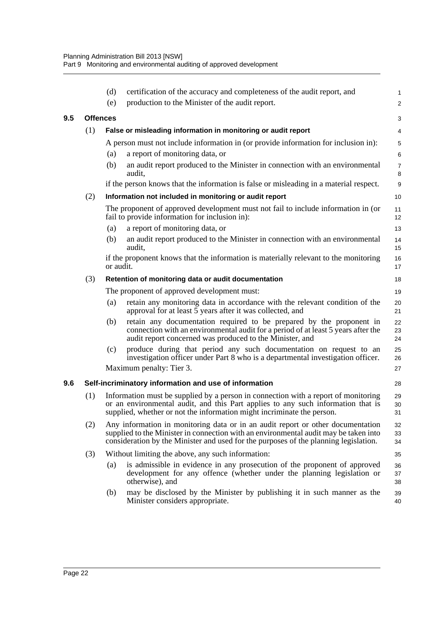<span id="page-30-1"></span><span id="page-30-0"></span>

|     |     | (d)                                                 | certification of the accuracy and completeness of the audit report, and                                                                                                                                                                                         | 1                   |  |
|-----|-----|-----------------------------------------------------|-----------------------------------------------------------------------------------------------------------------------------------------------------------------------------------------------------------------------------------------------------------------|---------------------|--|
|     |     | (e)                                                 | production to the Minister of the audit report.                                                                                                                                                                                                                 | $\overline{2}$      |  |
| 9.5 |     | <b>Offences</b>                                     |                                                                                                                                                                                                                                                                 | 3                   |  |
|     | (1) |                                                     | False or misleading information in monitoring or audit report                                                                                                                                                                                                   | 4                   |  |
|     |     |                                                     | A person must not include information in (or provide information for inclusion in):                                                                                                                                                                             | 5                   |  |
|     |     | (a)                                                 | a report of monitoring data, or                                                                                                                                                                                                                                 | 6                   |  |
|     |     | (b)                                                 | an audit report produced to the Minister in connection with an environmental<br>audit.                                                                                                                                                                          | $\overline{7}$<br>8 |  |
|     |     |                                                     | if the person knows that the information is false or misleading in a material respect.                                                                                                                                                                          | 9                   |  |
|     | (2) |                                                     | Information not included in monitoring or audit report                                                                                                                                                                                                          | 10                  |  |
|     |     |                                                     | The proponent of approved development must not fail to include information in (or<br>fail to provide information for inclusion in):                                                                                                                             | 11<br>12            |  |
|     |     | (a)                                                 | a report of monitoring data, or                                                                                                                                                                                                                                 | 13                  |  |
|     |     | (b)                                                 | an audit report produced to the Minister in connection with an environmental<br>audit,                                                                                                                                                                          | 14<br>15            |  |
|     |     | or audit.                                           | if the proponent knows that the information is materially relevant to the monitoring                                                                                                                                                                            | 16<br>17            |  |
|     | (3) | Retention of monitoring data or audit documentation |                                                                                                                                                                                                                                                                 |                     |  |
|     |     |                                                     | The proponent of approved development must:                                                                                                                                                                                                                     | 19                  |  |
|     |     | (a)                                                 | retain any monitoring data in accordance with the relevant condition of the<br>approval for at least $\bar{5}$ years after it was collected, and                                                                                                                | 20<br>21            |  |
|     |     | (b)                                                 | retain any documentation required to be prepared by the proponent in<br>connection with an environmental audit for a period of at least 5 years after the<br>audit report concerned was produced to the Minister, and                                           | 22<br>23<br>24      |  |
|     |     | (c)                                                 | produce during that period any such documentation on request to an<br>investigation officer under Part 8 who is a departmental investigation officer.<br>Maximum penalty: Tier 3.                                                                               | 25<br>26<br>27      |  |
|     |     |                                                     |                                                                                                                                                                                                                                                                 |                     |  |
| 9.6 |     |                                                     | Self-incriminatory information and use of information                                                                                                                                                                                                           | 28                  |  |
|     | (1) |                                                     | Information must be supplied by a person in connection with a report of monitoring<br>or an environmental audit, and this Part applies to any such information that is<br>supplied, whether or not the information might incriminate the person.                | 29<br>30<br>31      |  |
|     | (2) |                                                     | Any information in monitoring data or in an audit report or other documentation<br>supplied to the Minister in connection with an environmental audit may be taken into<br>consideration by the Minister and used for the purposes of the planning legislation. | 32<br>33<br>34      |  |
|     | (3) |                                                     | Without limiting the above, any such information:                                                                                                                                                                                                               | 35                  |  |
|     |     | (a)                                                 | is admissible in evidence in any prosecution of the proponent of approved<br>development for any offence (whether under the planning legislation or<br>otherwise), and                                                                                          | 36<br>37<br>38      |  |
|     |     | (b)                                                 | may be disclosed by the Minister by publishing it in such manner as the<br>Minister considers appropriate.                                                                                                                                                      | 39<br>40            |  |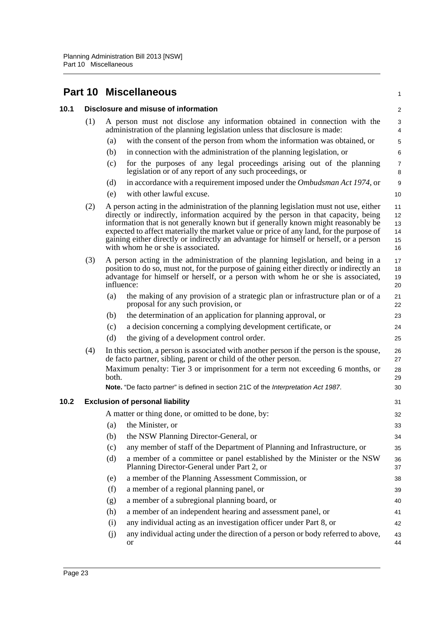# <span id="page-31-0"></span>**Part 10 Miscellaneous**

<span id="page-31-2"></span><span id="page-31-1"></span>

| 10.1 |     |       | Disclosure and misuse of information                                                                                                                                                                                                                                                                                                                                                                                                                                                          | $\sqrt{2}$                       |
|------|-----|-------|-----------------------------------------------------------------------------------------------------------------------------------------------------------------------------------------------------------------------------------------------------------------------------------------------------------------------------------------------------------------------------------------------------------------------------------------------------------------------------------------------|----------------------------------|
|      | (1) |       | A person must not disclose any information obtained in connection with the<br>administration of the planning legislation unless that disclosure is made:                                                                                                                                                                                                                                                                                                                                      | 3<br>4                           |
|      |     | (a)   | with the consent of the person from whom the information was obtained, or                                                                                                                                                                                                                                                                                                                                                                                                                     | $\mathbf 5$                      |
|      |     | (b)   | in connection with the administration of the planning legislation, or                                                                                                                                                                                                                                                                                                                                                                                                                         | $\,6$                            |
|      |     | (c)   | for the purposes of any legal proceedings arising out of the planning<br>legislation or of any report of any such proceedings, or                                                                                                                                                                                                                                                                                                                                                             | $\overline{7}$<br>8              |
|      |     | (d)   | in accordance with a requirement imposed under the Ombudsman Act 1974, or                                                                                                                                                                                                                                                                                                                                                                                                                     | 9                                |
|      |     | (e)   | with other lawful excuse.                                                                                                                                                                                                                                                                                                                                                                                                                                                                     | 10                               |
|      | (2) |       | A person acting in the administration of the planning legislation must not use, either<br>directly or indirectly, information acquired by the person in that capacity, being<br>information that is not generally known but if generally known might reasonably be<br>expected to affect materially the market value or price of any land, for the purpose of<br>gaining either directly or indirectly an advantage for himself or herself, or a person<br>with whom he or she is associated. | 11<br>12<br>13<br>14<br>15<br>16 |
|      | (3) |       | A person acting in the administration of the planning legislation, and being in a<br>position to do so, must not, for the purpose of gaining either directly or indirectly an<br>advantage for himself or herself, or a person with whom he or she is associated,<br>influence:                                                                                                                                                                                                               | 17<br>18<br>19<br>20             |
|      |     | (a)   | the making of any provision of a strategic plan or infrastructure plan or of a<br>proposal for any such provision, or                                                                                                                                                                                                                                                                                                                                                                         | 21<br>22                         |
|      |     | (b)   | the determination of an application for planning approval, or                                                                                                                                                                                                                                                                                                                                                                                                                                 | 23                               |
|      |     | (c)   | a decision concerning a complying development certificate, or                                                                                                                                                                                                                                                                                                                                                                                                                                 | 24                               |
|      |     | (d)   | the giving of a development control order.                                                                                                                                                                                                                                                                                                                                                                                                                                                    | 25                               |
|      | (4) |       | In this section, a person is associated with another person if the person is the spouse,<br>de facto partner, sibling, parent or child of the other person.                                                                                                                                                                                                                                                                                                                                   | 26<br>27                         |
|      |     | both. | Maximum penalty: Tier 3 or imprisonment for a term not exceeding 6 months, or                                                                                                                                                                                                                                                                                                                                                                                                                 | 28<br>29                         |
|      |     |       | Note. "De facto partner" is defined in section 21C of the Interpretation Act 1987.                                                                                                                                                                                                                                                                                                                                                                                                            | 30                               |
| 10.2 |     |       | <b>Exclusion of personal liability</b>                                                                                                                                                                                                                                                                                                                                                                                                                                                        | 31                               |
|      |     |       | A matter or thing done, or omitted to be done, by:                                                                                                                                                                                                                                                                                                                                                                                                                                            | 32                               |
|      |     | (a)   | the Minister, or                                                                                                                                                                                                                                                                                                                                                                                                                                                                              | 33                               |
|      |     |       | (b) the NSW Planning Director-General, or                                                                                                                                                                                                                                                                                                                                                                                                                                                     | 34                               |
|      |     | (c)   | any member of staff of the Department of Planning and Infrastructure, or                                                                                                                                                                                                                                                                                                                                                                                                                      | 35                               |
|      |     | (d)   | a member of a committee or panel established by the Minister or the NSW<br>Planning Director-General under Part 2, or                                                                                                                                                                                                                                                                                                                                                                         | 36<br>37                         |
|      |     | (e)   | a member of the Planning Assessment Commission, or                                                                                                                                                                                                                                                                                                                                                                                                                                            | 38                               |
|      |     | (f)   | a member of a regional planning panel, or                                                                                                                                                                                                                                                                                                                                                                                                                                                     | 39                               |
|      |     | (g)   | a member of a subregional planning board, or                                                                                                                                                                                                                                                                                                                                                                                                                                                  | 40                               |
|      |     | (h)   | a member of an independent hearing and assessment panel, or                                                                                                                                                                                                                                                                                                                                                                                                                                   | 41                               |
|      |     | (i)   | any individual acting as an investigation officer under Part 8, or                                                                                                                                                                                                                                                                                                                                                                                                                            | 42                               |
|      |     | (j)   | any individual acting under the direction of a person or body referred to above,<br>or                                                                                                                                                                                                                                                                                                                                                                                                        | 43<br>44                         |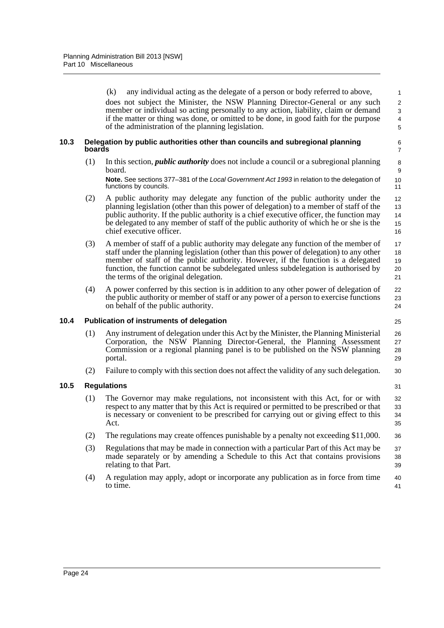(k) any individual acting as the delegate of a person or body referred to above, does not subject the Minister, the NSW Planning Director-General or any such member or individual so acting personally to any action, liability, claim or demand if the matter or thing was done, or omitted to be done, in good faith for the purpose of the administration of the planning legislation.

 $22$ 23 24

31

#### <span id="page-32-0"></span>**10.3 Delegation by public authorities other than councils and subregional planning boards**

(1) In this section, *public authority* does not include a council or a subregional planning board.

**Note.** See sections 377–381 of the *Local Government Act 1993* in relation to the delegation of functions by councils.

- (2) A public authority may delegate any function of the public authority under the planning legislation (other than this power of delegation) to a member of staff of the public authority. If the public authority is a chief executive officer, the function may be delegated to any member of staff of the public authority of which he or she is the chief executive officer.
- (3) A member of staff of a public authority may delegate any function of the member of staff under the planning legislation (other than this power of delegation) to any other member of staff of the public authority. However, if the function is a delegated function, the function cannot be subdelegated unless subdelegation is authorised by the terms of the original delegation. 17 18 19 20 21
- (4) A power conferred by this section is in addition to any other power of delegation of the public authority or member of staff or any power of a person to exercise functions on behalf of the public authority.

#### <span id="page-32-1"></span>**10.4 Publication of instruments of delegation**

- (1) Any instrument of delegation under this Act by the Minister, the Planning Ministerial Corporation, the NSW Planning Director-General, the Planning Assessment Commission or a regional planning panel is to be published on the NSW planning portal.
- (2) Failure to comply with this section does not affect the validity of any such delegation. 30

#### <span id="page-32-2"></span>**10.5 Regulations**

- (1) The Governor may make regulations, not inconsistent with this Act, for or with respect to any matter that by this Act is required or permitted to be prescribed or that is necessary or convenient to be prescribed for carrying out or giving effect to this Act. 32 33  $34$ 35
- (2) The regulations may create offences punishable by a penalty not exceeding \$11,000. 36
- (3) Regulations that may be made in connection with a particular Part of this Act may be made separately or by amending a Schedule to this Act that contains provisions relating to that Part. 37 38 39
- (4) A regulation may apply, adopt or incorporate any publication as in force from time to time. 40 41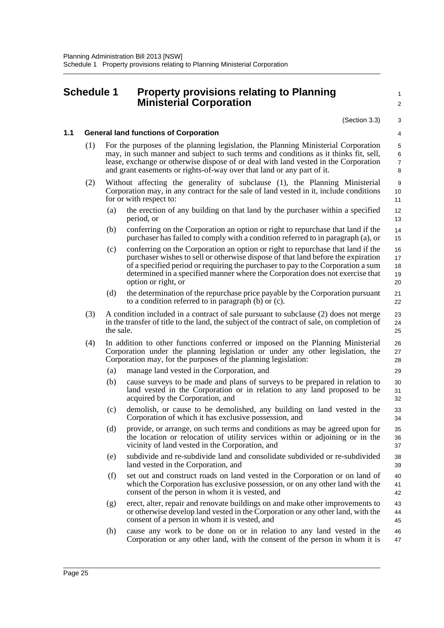## <span id="page-33-0"></span>**Schedule 1 Property provisions relating to Planning Ministerial Corporation**

 $\overline{2}$ 

1

#### 3 4

#### **1.1 General land functions of Corporation**

- (1) For the purposes of the planning legislation, the Planning Ministerial Corporation may, in such manner and subject to such terms and conditions as it thinks fit, sell, lease, exchange or otherwise dispose of or deal with land vested in the Corporation and grant easements or rights-of-way over that land or any part of it.
- (2) Without affecting the generality of subclause (1), the Planning Ministerial Corporation may, in any contract for the sale of land vested in it, include conditions for or with respect to:
	- (a) the erection of any building on that land by the purchaser within a specified period, or
	- (b) conferring on the Corporation an option or right to repurchase that land if the purchaser has failed to comply with a condition referred to in paragraph (a), or 14 15
	- (c) conferring on the Corporation an option or right to repurchase that land if the purchaser wishes to sell or otherwise dispose of that land before the expiration of a specified period or requiring the purchaser to pay to the Corporation a sum determined in a specified manner where the Corporation does not exercise that option or right, or 16 17 18 19 20
	- (d) the determination of the repurchase price payable by the Corporation pursuant to a condition referred to in paragraph (b) or (c).
- (3) A condition included in a contract of sale pursuant to subclause (2) does not merge in the transfer of title to the land, the subject of the contract of sale, on completion of the sale.
- (4) In addition to other functions conferred or imposed on the Planning Ministerial Corporation under the planning legislation or under any other legislation, the Corporation may, for the purposes of the planning legislation:
	- (a) manage land vested in the Corporation, and
	- (b) cause surveys to be made and plans of surveys to be prepared in relation to land vested in the Corporation or in relation to any land proposed to be acquired by the Corporation, and
	- (c) demolish, or cause to be demolished, any building on land vested in the Corporation of which it has exclusive possession, and
	- (d) provide, or arrange, on such terms and conditions as may be agreed upon for the location or relocation of utility services within or adjoining or in the vicinity of land vested in the Corporation, and
	- (e) subdivide and re-subdivide land and consolidate subdivided or re-subdivided land vested in the Corporation, and
	- (f) set out and construct roads on land vested in the Corporation or on land of which the Corporation has exclusive possession, or on any other land with the consent of the person in whom it is vested, and 40 41 42
	- (g) erect, alter, repair and renovate buildings on and make other improvements to or otherwise develop land vested in the Corporation or any other land, with the consent of a person in whom it is vested, and 43 44 45
	- (h) cause any work to be done on or in relation to any land vested in the Corporation or any other land, with the consent of the person in whom it is 46 47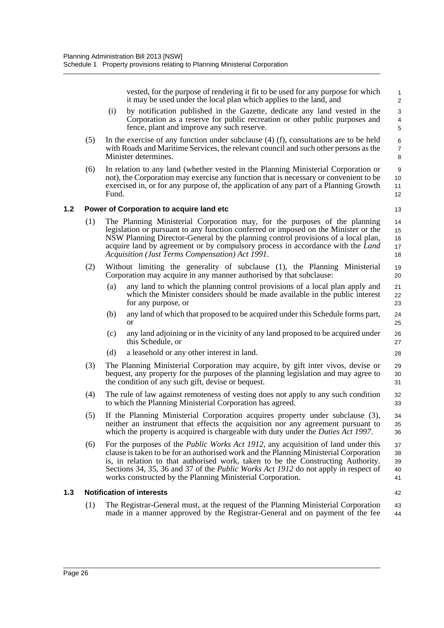vested, for the purpose of rendering it fit to be used for any purpose for which it may be used under the local plan which applies to the land, and

- (i) by notification published in the Gazette, dedicate any land vested in the Corporation as a reserve for public recreation or other public purposes and fence, plant and improve any such reserve.
- (5) In the exercise of any function under subclause (4) (f), consultations are to be held with Roads and Maritime Services, the relevant council and such other persons as the Minister determines.
- (6) In relation to any land (whether vested in the Planning Ministerial Corporation or not), the Corporation may exercise any function that is necessary or convenient to be exercised in, or for any purpose of, the application of any part of a Planning Growth Fund.

#### **1.2 Power of Corporation to acquire land etc**

13 14

32 33

42

- (1) The Planning Ministerial Corporation may, for the purposes of the planning legislation or pursuant to any function conferred or imposed on the Minister or the NSW Planning Director-General by the planning control provisions of a local plan, acquire land by agreement or by compulsory process in accordance with the *Land Acquisition (Just Terms Compensation) Act 1991*.
- (2) Without limiting the generality of subclause (1), the Planning Ministerial Corporation may acquire in any manner authorised by that subclause: 19 20
	- (a) any land to which the planning control provisions of a local plan apply and which the Minister considers should be made available in the public interest for any purpose, or
	- (b) any land of which that proposed to be acquired under this Schedule forms part, or
	- (c) any land adjoining or in the vicinity of any land proposed to be acquired under this Schedule, or
	- (d) a leasehold or any other interest in land.
- (3) The Planning Ministerial Corporation may acquire, by gift inter vivos, devise or bequest, any property for the purposes of the planning legislation and may agree to the condition of any such gift, devise or bequest. 29 30 31
- (4) The rule of law against remoteness of vesting does not apply to any such condition to which the Planning Ministerial Corporation has agreed.
- (5) If the Planning Ministerial Corporation acquires property under subclause (3), neither an instrument that effects the acquisition nor any agreement pursuant to which the property is acquired is chargeable with duty under the *Duties Act 1997*. 34 35 36
- (6) For the purposes of the *Public Works Act 1912*, any acquisition of land under this clause is taken to be for an authorised work and the Planning Ministerial Corporation is, in relation to that authorised work, taken to be the Constructing Authority. Sections 34, 35, 36 and 37 of the *Public Works Act 1912* do not apply in respect of works constructed by the Planning Ministerial Corporation. 37 38 39 40 41

#### **1.3 Notification of interests**

(1) The Registrar-General must, at the request of the Planning Ministerial Corporation made in a manner approved by the Registrar-General and on payment of the fee 43 44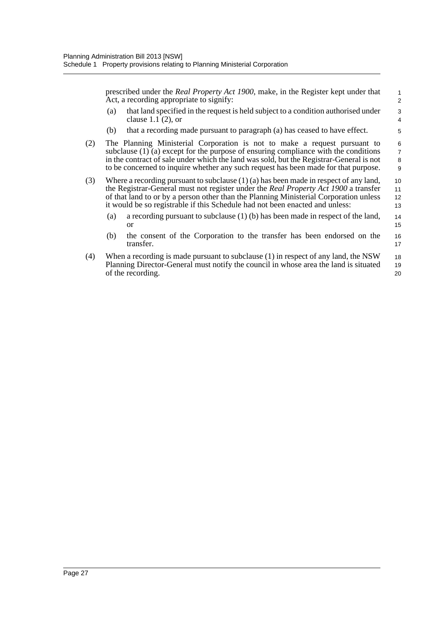prescribed under the *Real Property Act 1900*, make, in the Register kept under that Act, a recording appropriate to signify:

- (a) that land specified in the request is held subject to a condition authorised under clause  $1.1(2)$ , or
- (b) that a recording made pursuant to paragraph (a) has ceased to have effect.
- (2) The Planning Ministerial Corporation is not to make a request pursuant to subclause  $(1)$  (a) except for the purpose of ensuring compliance with the conditions in the contract of sale under which the land was sold, but the Registrar-General is not to be concerned to inquire whether any such request has been made for that purpose.
- (3) Where a recording pursuant to subclause (1) (a) has been made in respect of any land, the Registrar-General must not register under the *Real Property Act 1900* a transfer of that land to or by a person other than the Planning Ministerial Corporation unless it would be so registrable if this Schedule had not been enacted and unless: 10 11 12 13
	- (a) a recording pursuant to subclause (1) (b) has been made in respect of the land, or 14 15
	- (b) the consent of the Corporation to the transfer has been endorsed on the transfer. 16 17
- (4) When a recording is made pursuant to subclause (1) in respect of any land, the NSW Planning Director-General must notify the council in whose area the land is situated of the recording. 18 19 20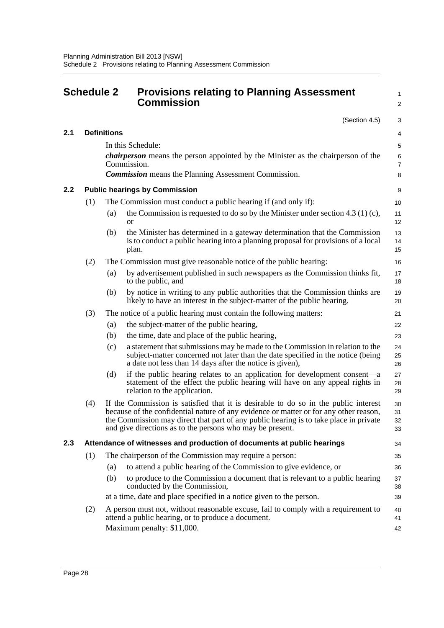<span id="page-36-0"></span>

|     | <b>Schedule 2</b> |                    | <b>Provisions relating to Planning Assessment</b><br><b>Commission</b>                                                                                                                                                                                                                                                             | 1<br>$\overline{\mathbf{c}}$ |
|-----|-------------------|--------------------|------------------------------------------------------------------------------------------------------------------------------------------------------------------------------------------------------------------------------------------------------------------------------------------------------------------------------------|------------------------------|
|     |                   |                    | (Section 4.5)                                                                                                                                                                                                                                                                                                                      | 3                            |
| 2.1 |                   | <b>Definitions</b> |                                                                                                                                                                                                                                                                                                                                    | 4                            |
|     |                   |                    | In this Schedule:                                                                                                                                                                                                                                                                                                                  | 5                            |
|     |                   |                    | <i>chairperson</i> means the person appointed by the Minister as the chairperson of the<br>Commission.                                                                                                                                                                                                                             | 6<br>$\overline{7}$          |
|     |                   |                    | <b>Commission</b> means the Planning Assessment Commission.                                                                                                                                                                                                                                                                        | 8                            |
| 2.2 |                   |                    | <b>Public hearings by Commission</b>                                                                                                                                                                                                                                                                                               | 9                            |
|     | (1)               |                    | The Commission must conduct a public hearing if (and only if):                                                                                                                                                                                                                                                                     | 10                           |
|     |                   | (a)                | the Commission is requested to do so by the Minister under section 4.3 (1) (c),<br>$\alpha$                                                                                                                                                                                                                                        | 11<br>12                     |
|     |                   | (b)                | the Minister has determined in a gateway determination that the Commission<br>is to conduct a public hearing into a planning proposal for provisions of a local<br>plan.                                                                                                                                                           | 13<br>14<br>15               |
|     | (2)               |                    | The Commission must give reasonable notice of the public hearing:                                                                                                                                                                                                                                                                  | 16                           |
|     |                   | (a)                | by advertisement published in such newspapers as the Commission thinks fit,<br>to the public, and                                                                                                                                                                                                                                  | 17<br>18                     |
|     |                   | (b)                | by notice in writing to any public authorities that the Commission thinks are<br>likely to have an interest in the subject-matter of the public hearing.                                                                                                                                                                           | 19<br>20                     |
|     | (3)               |                    | The notice of a public hearing must contain the following matters:                                                                                                                                                                                                                                                                 | 21                           |
|     |                   | (a)                | the subject-matter of the public hearing,                                                                                                                                                                                                                                                                                          | 22                           |
|     |                   | (b)                | the time, date and place of the public hearing,                                                                                                                                                                                                                                                                                    | 23                           |
|     |                   | (c)                | a statement that submissions may be made to the Commission in relation to the<br>subject-matter concerned not later than the date specified in the notice (being<br>a date not less than 14 days after the notice is given),                                                                                                       | 24<br>25<br>26               |
|     |                   | (d)                | if the public hearing relates to an application for development consent—a<br>statement of the effect the public hearing will have on any appeal rights in<br>relation to the application.                                                                                                                                          | 27<br>28<br>29               |
|     | (4)               |                    | If the Commission is satisfied that it is desirable to do so in the public interest<br>because of the confidential nature of any evidence or matter or for any other reason,<br>the Commission may direct that part of any public hearing is to take place in private<br>and give directions as to the persons who may be present. | 30<br>31<br>32<br>33         |
| 2.3 |                   |                    | Attendance of witnesses and production of documents at public hearings                                                                                                                                                                                                                                                             | 34                           |
|     | (1)               |                    | The chairperson of the Commission may require a person:                                                                                                                                                                                                                                                                            | 35                           |
|     |                   | (a)                | to attend a public hearing of the Commission to give evidence, or                                                                                                                                                                                                                                                                  | 36                           |
|     |                   | (b)                | to produce to the Commission a document that is relevant to a public hearing<br>conducted by the Commission,                                                                                                                                                                                                                       | 37<br>38                     |
|     |                   |                    | at a time, date and place specified in a notice given to the person.                                                                                                                                                                                                                                                               | 39                           |
|     | (2)               |                    | A person must not, without reasonable excuse, fail to comply with a requirement to<br>attend a public hearing, or to produce a document.                                                                                                                                                                                           | 40<br>41                     |
|     |                   |                    | Maximum penalty: \$11,000.                                                                                                                                                                                                                                                                                                         | 42                           |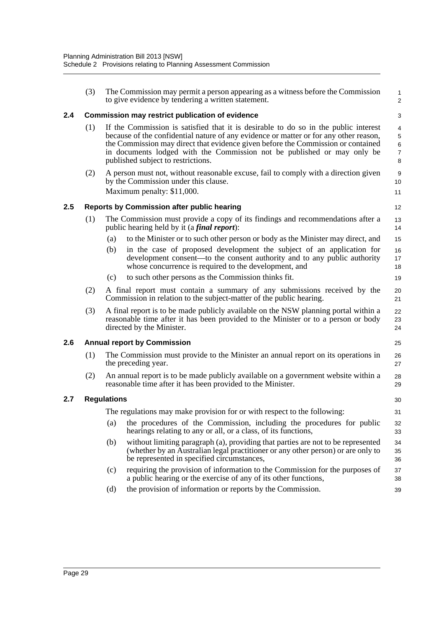|     | (3) |                                                                                                                                                                                                                                                                                                                                                                                   | The Commission may permit a person appearing as a witness before the Commission<br>to give evidence by tendering a written statement.                                                                              | $\mathbf{1}$<br>$\overline{2}$                     |
|-----|-----|-----------------------------------------------------------------------------------------------------------------------------------------------------------------------------------------------------------------------------------------------------------------------------------------------------------------------------------------------------------------------------------|--------------------------------------------------------------------------------------------------------------------------------------------------------------------------------------------------------------------|----------------------------------------------------|
| 2.4 |     |                                                                                                                                                                                                                                                                                                                                                                                   | <b>Commission may restrict publication of evidence</b>                                                                                                                                                             | 3                                                  |
|     | (1) | If the Commission is satisfied that it is desirable to do so in the public interest<br>because of the confidential nature of any evidence or matter or for any other reason,<br>the Commission may direct that evidence given before the Commission or contained<br>in documents lodged with the Commission not be published or may only be<br>published subject to restrictions. |                                                                                                                                                                                                                    | 4<br>$\mathbf 5$<br>$\,6\,$<br>$\overline{7}$<br>8 |
|     | (2) | A person must not, without reasonable excuse, fail to comply with a direction given<br>by the Commission under this clause.<br>Maximum penalty: \$11,000.                                                                                                                                                                                                                         |                                                                                                                                                                                                                    | 9<br>10<br>11                                      |
| 2.5 |     |                                                                                                                                                                                                                                                                                                                                                                                   | <b>Reports by Commission after public hearing</b>                                                                                                                                                                  | 12                                                 |
|     | (1) |                                                                                                                                                                                                                                                                                                                                                                                   | The Commission must provide a copy of its findings and recommendations after a<br>public hearing held by it (a <i>final report</i> ):                                                                              | 13<br>14                                           |
|     |     | (a)                                                                                                                                                                                                                                                                                                                                                                               | to the Minister or to such other person or body as the Minister may direct, and                                                                                                                                    | 15                                                 |
|     |     | (b)                                                                                                                                                                                                                                                                                                                                                                               | in the case of proposed development the subject of an application for<br>development consent—to the consent authority and to any public authority<br>whose concurrence is required to the development, and         | 16<br>17<br>18                                     |
|     |     | (c)                                                                                                                                                                                                                                                                                                                                                                               | to such other persons as the Commission thinks fit.                                                                                                                                                                | 19                                                 |
|     | (2) | A final report must contain a summary of any submissions received by the<br>Commission in relation to the subject-matter of the public hearing.                                                                                                                                                                                                                                   |                                                                                                                                                                                                                    | 20<br>21                                           |
|     | (3) | A final report is to be made publicly available on the NSW planning portal within a<br>reasonable time after it has been provided to the Minister or to a person or body<br>directed by the Minister.                                                                                                                                                                             |                                                                                                                                                                                                                    |                                                    |
| 2.6 |     |                                                                                                                                                                                                                                                                                                                                                                                   | <b>Annual report by Commission</b>                                                                                                                                                                                 | 25                                                 |
|     | (1) | The Commission must provide to the Minister an annual report on its operations in<br>the preceding year.                                                                                                                                                                                                                                                                          |                                                                                                                                                                                                                    | 26<br>27                                           |
|     | (2) | An annual report is to be made publicly available on a government website within a<br>reasonable time after it has been provided to the Minister.                                                                                                                                                                                                                                 |                                                                                                                                                                                                                    | 28<br>29                                           |
| 2.7 |     | <b>Regulations</b>                                                                                                                                                                                                                                                                                                                                                                |                                                                                                                                                                                                                    | 30                                                 |
|     |     |                                                                                                                                                                                                                                                                                                                                                                                   | The regulations may make provision for or with respect to the following:                                                                                                                                           | 31                                                 |
|     |     | (a)                                                                                                                                                                                                                                                                                                                                                                               | the procedures of the Commission, including the procedures for public<br>hearings relating to any or all, or a class, of its functions,                                                                            | 32<br>33                                           |
|     |     | (b)                                                                                                                                                                                                                                                                                                                                                                               | without limiting paragraph (a), providing that parties are not to be represented<br>(whether by an Australian legal practitioner or any other person) or are only to<br>be represented in specified circumstances, | 34<br>35<br>36                                     |
|     |     | (c)                                                                                                                                                                                                                                                                                                                                                                               | requiring the provision of information to the Commission for the purposes of<br>a public hearing or the exercise of any of its other functions,                                                                    | 37<br>38                                           |
|     |     | (d)                                                                                                                                                                                                                                                                                                                                                                               | the provision of information or reports by the Commission.                                                                                                                                                         | 39                                                 |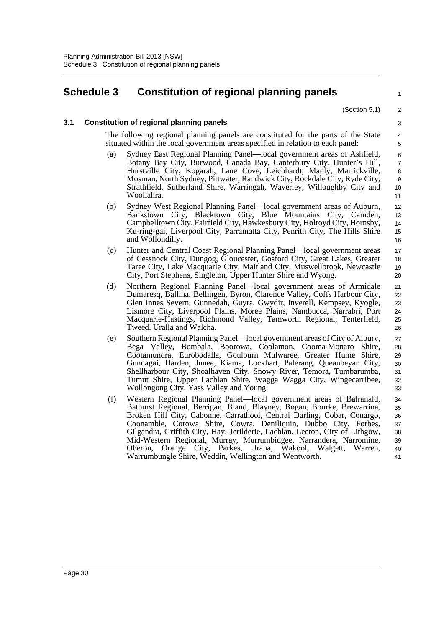# <span id="page-38-0"></span>**Schedule 3 Constitution of regional planning panels**

(Section 5.1)

1

#### **3.1 Constitution of regional planning panels**

The following regional planning panels are constituted for the parts of the State situated within the local government areas specified in relation to each panel:

- (a) Sydney East Regional Planning Panel—local government areas of Ashfield, Botany Bay City, Burwood, Canada Bay, Canterbury City, Hunter's Hill, Hurstville City, Kogarah, Lane Cove, Leichhardt, Manly, Marrickville, Mosman, North Sydney, Pittwater, Randwick City, Rockdale City, Ryde City, Strathfield, Sutherland Shire, Warringah, Waverley, Willoughby City and Woollahra.
- (b) Sydney West Regional Planning Panel—local government areas of Auburn, Bankstown City, Blacktown City, Blue Mountains City, Camden, Campbelltown City, Fairfield City, Hawkesbury City, Holroyd City, Hornsby, Ku-ring-gai, Liverpool City, Parramatta City, Penrith City, The Hills Shire and Wollondilly.
- (c) Hunter and Central Coast Regional Planning Panel—local government areas of Cessnock City, Dungog, Gloucester, Gosford City, Great Lakes, Greater Taree City, Lake Macquarie City, Maitland City, Muswellbrook, Newcastle City, Port Stephens, Singleton, Upper Hunter Shire and Wyong.
- (d) Northern Regional Planning Panel—local government areas of Armidale Dumaresq, Ballina, Bellingen, Byron, Clarence Valley, Coffs Harbour City, Glen Innes Severn, Gunnedah, Guyra, Gwydir, Inverell, Kempsey, Kyogle, Lismore City, Liverpool Plains, Moree Plains, Nambucca, Narrabri, Port Macquarie-Hastings, Richmond Valley, Tamworth Regional, Tenterfield, Tweed, Uralla and Walcha.
- (e) Southern Regional Planning Panel—local government areas of City of Albury, Bega Valley, Bombala, Boorowa, Coolamon, Cooma-Monaro Shire, Cootamundra, Eurobodalla, Goulburn Mulwaree, Greater Hume Shire, Gundagai, Harden, Junee, Kiama, Lockhart, Palerang, Queanbeyan City, Shellharbour City, Shoalhaven City, Snowy River, Temora, Tumbarumba, Tumut Shire, Upper Lachlan Shire, Wagga Wagga City, Wingecarribee, Wollongong City, Yass Valley and Young. 27 28 29 30 31 32 33
- (f) Western Regional Planning Panel—local government areas of Balranald, Bathurst Regional, Berrigan, Bland, Blayney, Bogan, Bourke, Brewarrina, Broken Hill City, Cabonne, Carrathool, Central Darling, Cobar, Conargo, Coonamble, Corowa Shire, Cowra, Deniliquin, Dubbo City, Forbes, Gilgandra, Griffith City, Hay, Jerilderie, Lachlan, Leeton, City of Lithgow, Mid-Western Regional, Murray, Murrumbidgee, Narrandera, Narromine, Oberon, Orange City, Parkes, Urana, Wakool, Walgett, Warren, Warrumbungle Shire, Weddin, Wellington and Wentworth. 34 35 36 37 38 39 40 41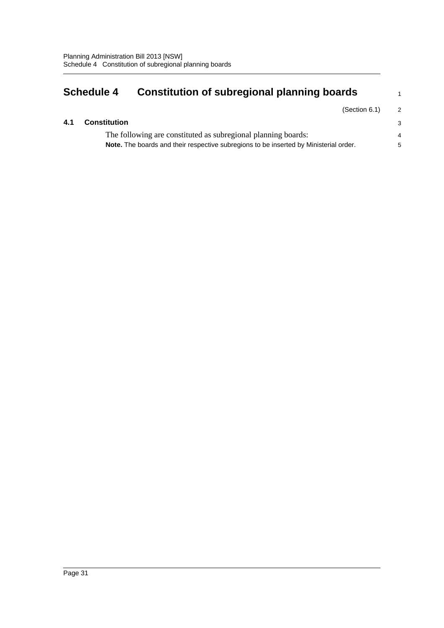# <span id="page-39-0"></span>**Schedule 4 Constitution of subregional planning boards**

1

### **4.1 Constitution**

The following are constituted as subregional planning boards: **Note.** The boards and their respective subregions to be inserted by Ministerial order.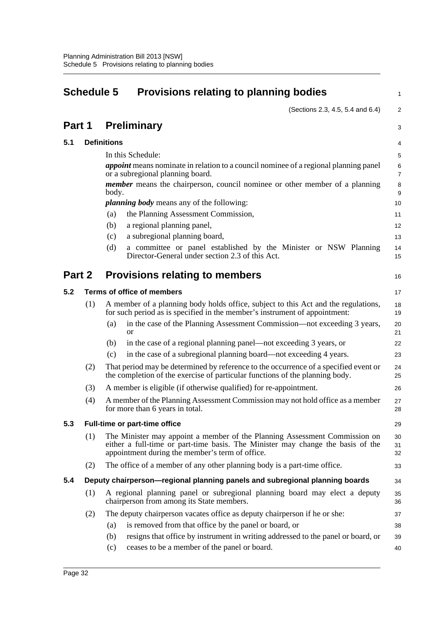<span id="page-40-0"></span>

| <b>Schedule 5</b>                               |     |                    | <b>Provisions relating to planning bodies</b>                                                                                                                                                                    |                           |
|-------------------------------------------------|-----|--------------------|------------------------------------------------------------------------------------------------------------------------------------------------------------------------------------------------------------------|---------------------------|
|                                                 |     |                    | (Sections 2.3, 4.5, 5.4 and 6.4)                                                                                                                                                                                 | $\overline{2}$            |
| Part 1                                          |     |                    | <b>Preliminary</b>                                                                                                                                                                                               | 3                         |
| 5.1                                             |     | <b>Definitions</b> |                                                                                                                                                                                                                  | 4                         |
|                                                 |     |                    | In this Schedule:                                                                                                                                                                                                | 5                         |
|                                                 |     |                    | <i>appoint</i> means nominate in relation to a council nominee of a regional planning panel<br>or a subregional planning board.                                                                                  | $\,6\,$<br>$\overline{7}$ |
|                                                 |     | body.              | <i>member</i> means the chairperson, council nominee or other member of a planning                                                                                                                               | 8<br>9                    |
|                                                 |     |                    | <i>planning body</i> means any of the following:                                                                                                                                                                 | 10                        |
|                                                 |     | (a)                | the Planning Assessment Commission,                                                                                                                                                                              | 11                        |
|                                                 |     | (b)                | a regional planning panel,                                                                                                                                                                                       | 12                        |
|                                                 |     | (c)                | a subregional planning board,                                                                                                                                                                                    | 13                        |
|                                                 |     | (d)                | a committee or panel established by the Minister or NSW Planning<br>Director-General under section 2.3 of this Act.                                                                                              | 14<br>15                  |
| Part 2<br><b>Provisions relating to members</b> |     |                    |                                                                                                                                                                                                                  | 16                        |
| 5.2                                             |     |                    | Terms of office of members                                                                                                                                                                                       | 17                        |
|                                                 | (1) |                    | A member of a planning body holds office, subject to this Act and the regulations,<br>for such period as is specified in the member's instrument of appointment:                                                 | 18<br>19                  |
|                                                 |     | (a)                | in the case of the Planning Assessment Commission—not exceeding 3 years,<br><sub>or</sub>                                                                                                                        | 20<br>21                  |
|                                                 |     | (b)                | in the case of a regional planning panel—not exceeding 3 years, or                                                                                                                                               | 22                        |
|                                                 |     | (c)                | in the case of a subregional planning board—not exceeding 4 years.                                                                                                                                               | 23                        |
|                                                 | (2) |                    | That period may be determined by reference to the occurrence of a specified event or<br>the completion of the exercise of particular functions of the planning body.                                             | 24<br>25                  |
|                                                 | (3) |                    | A member is eligible (if otherwise qualified) for re-appointment.                                                                                                                                                | 26                        |
|                                                 | (4) |                    | A member of the Planning Assessment Commission may not hold office as a member<br>for more than 6 years in total.                                                                                                | 27<br>28                  |
| 5.3                                             |     |                    | <b>Full-time or part-time office</b>                                                                                                                                                                             | 29                        |
|                                                 | (1) |                    | The Minister may appoint a member of the Planning Assessment Commission on<br>either a full-time or part-time basis. The Minister may change the basis of the<br>appointment during the member's term of office. | 30<br>31<br>32            |
|                                                 | (2) |                    | The office of a member of any other planning body is a part-time office.                                                                                                                                         | 33                        |
| 5.4                                             |     |                    | Deputy chairperson—regional planning panels and subregional planning boards                                                                                                                                      | 34                        |
|                                                 | (1) |                    | A regional planning panel or subregional planning board may elect a deputy<br>chairperson from among its State members.                                                                                          | 35<br>36                  |
|                                                 | (2) |                    | The deputy chairperson vacates office as deputy chairperson if he or she:                                                                                                                                        | 37                        |
|                                                 |     | (a)                | is removed from that office by the panel or board, or                                                                                                                                                            | 38                        |
|                                                 |     | (b)                | resigns that office by instrument in writing addressed to the panel or board, or                                                                                                                                 | 39                        |
|                                                 |     | (c)                | ceases to be a member of the panel or board.                                                                                                                                                                     | 40                        |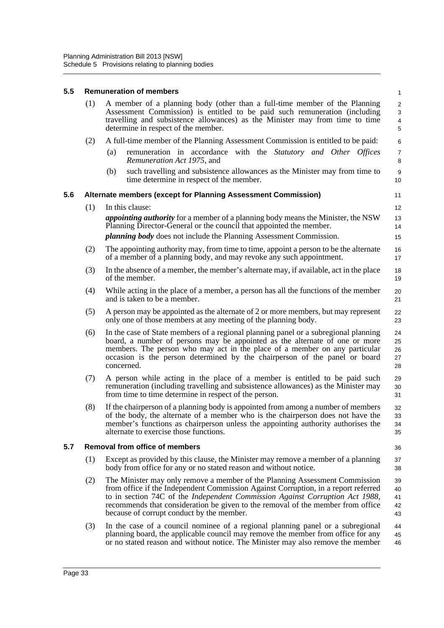| 5.5 |                                                                                                                                                                                                                                                                                               | <b>Remuneration of members</b><br>$\mathbf{1}$                                                                                                                                                                                                                                                                                                                                            |                                              |  |  |  |  |  |
|-----|-----------------------------------------------------------------------------------------------------------------------------------------------------------------------------------------------------------------------------------------------------------------------------------------------|-------------------------------------------------------------------------------------------------------------------------------------------------------------------------------------------------------------------------------------------------------------------------------------------------------------------------------------------------------------------------------------------|----------------------------------------------|--|--|--|--|--|
|     | (1)<br>A member of a planning body (other than a full-time member of the Planning<br>Assessment Commission) is entitled to be paid such remuneration (including<br>travelling and subsistence allowances) as the Minister may from time to time<br>determine in respect of the member.<br>(2) |                                                                                                                                                                                                                                                                                                                                                                                           | $\sqrt{2}$<br>$\sqrt{3}$<br>4<br>$\mathbf 5$ |  |  |  |  |  |
|     |                                                                                                                                                                                                                                                                                               | A full-time member of the Planning Assessment Commission is entitled to be paid:                                                                                                                                                                                                                                                                                                          |                                              |  |  |  |  |  |
|     |                                                                                                                                                                                                                                                                                               | remuneration in accordance with the Statutory and Other Offices<br>(a)<br>Remuneration Act 1975, and                                                                                                                                                                                                                                                                                      | $\overline{7}$<br>8                          |  |  |  |  |  |
|     |                                                                                                                                                                                                                                                                                               | such travelling and subsistence allowances as the Minister may from time to<br>(b)<br>time determine in respect of the member.                                                                                                                                                                                                                                                            | $\boldsymbol{9}$<br>10                       |  |  |  |  |  |
| 5.6 |                                                                                                                                                                                                                                                                                               | Alternate members (except for Planning Assessment Commission)                                                                                                                                                                                                                                                                                                                             | 11                                           |  |  |  |  |  |
|     | (1)                                                                                                                                                                                                                                                                                           | In this clause:                                                                                                                                                                                                                                                                                                                                                                           | 12                                           |  |  |  |  |  |
|     |                                                                                                                                                                                                                                                                                               | <i>appointing authority</i> for a member of a planning body means the Minister, the NSW<br>Planning Director-General or the council that appointed the member.<br><i>planning body</i> does not include the Planning Assessment Commission.                                                                                                                                               | 13<br>14<br>15                               |  |  |  |  |  |
|     | (2)                                                                                                                                                                                                                                                                                           | The appointing authority may, from time to time, appoint a person to be the alternate<br>of a member of a planning body, and may revoke any such appointment.                                                                                                                                                                                                                             | 16<br>17                                     |  |  |  |  |  |
|     | (3)                                                                                                                                                                                                                                                                                           | In the absence of a member, the member's alternate may, if available, act in the place<br>of the member.                                                                                                                                                                                                                                                                                  | 18<br>19                                     |  |  |  |  |  |
|     | (4)                                                                                                                                                                                                                                                                                           | While acting in the place of a member, a person has all the functions of the member<br>and is taken to be a member.                                                                                                                                                                                                                                                                       | 20<br>21                                     |  |  |  |  |  |
|     | (5)                                                                                                                                                                                                                                                                                           | A person may be appointed as the alternate of 2 or more members, but may represent<br>only one of those members at any meeting of the planning body.                                                                                                                                                                                                                                      | 22<br>23                                     |  |  |  |  |  |
|     | (6)                                                                                                                                                                                                                                                                                           | In the case of State members of a regional planning panel or a subregional planning<br>board, a number of persons may be appointed as the alternate of one or more<br>members. The person who may act in the place of a member on any particular<br>occasion is the person determined by the chairperson of the panel or board<br>concerned.                                              | 24<br>25<br>26<br>27<br>28                   |  |  |  |  |  |
|     | (7)                                                                                                                                                                                                                                                                                           | A person while acting in the place of a member is entitled to be paid such<br>remuneration (including travelling and subsistence allowances) as the Minister may<br>from time to time determine in respect of the person.                                                                                                                                                                 | 29<br>30<br>31                               |  |  |  |  |  |
|     | (8)                                                                                                                                                                                                                                                                                           | If the chairperson of a planning body is appointed from among a number of members<br>of the body, the alternate of a member who is the chairperson does not have the<br>member's functions as chairperson unless the appointing authority authorises the<br>alternate to exercise those functions.                                                                                        | 32<br>33<br>34<br>35                         |  |  |  |  |  |
| 5.7 |                                                                                                                                                                                                                                                                                               | <b>Removal from office of members</b><br>36                                                                                                                                                                                                                                                                                                                                               |                                              |  |  |  |  |  |
|     | (1)                                                                                                                                                                                                                                                                                           | Except as provided by this clause, the Minister may remove a member of a planning<br>body from office for any or no stated reason and without notice.                                                                                                                                                                                                                                     | 37<br>38                                     |  |  |  |  |  |
|     | (2)                                                                                                                                                                                                                                                                                           | The Minister may only remove a member of the Planning Assessment Commission<br>from office if the Independent Commission Against Corruption, in a report referred<br>to in section 74C of the <i>Independent Commission Against Corruption Act 1988</i> ,<br>recommends that consideration be given to the removal of the member from office<br>because of corrupt conduct by the member. | 39<br>40<br>41<br>42<br>43                   |  |  |  |  |  |
|     | (3)                                                                                                                                                                                                                                                                                           | In the case of a council nominee of a regional planning panel or a subregional<br>planning board, the applicable council may remove the member from office for any<br>or no stated reason and without notice. The Minister may also remove the member                                                                                                                                     | 44<br>45<br>46                               |  |  |  |  |  |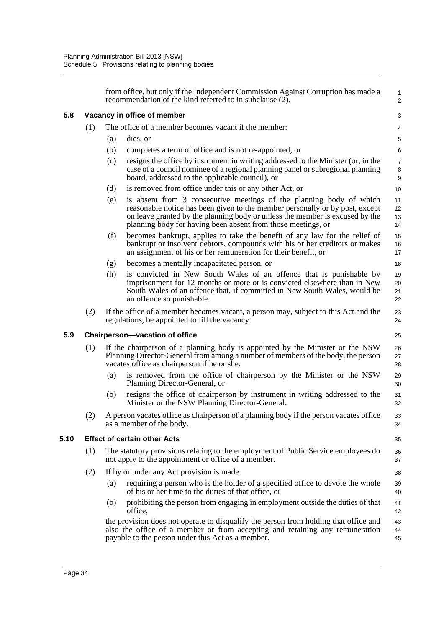|     |     |                                             | from office, but only if the Independent Commission Against Corruption has made a<br>recommendation of the kind referred to in subclause (2).                                                                                                                                                       | $\mathbf{1}$<br>$\overline{2}$                |  |  |  |  |
|-----|-----|---------------------------------------------|-----------------------------------------------------------------------------------------------------------------------------------------------------------------------------------------------------------------------------------------------------------------------------------------------------|-----------------------------------------------|--|--|--|--|
| 5.8 |     |                                             | Vacancy in office of member                                                                                                                                                                                                                                                                         | 3                                             |  |  |  |  |
|     | (1) |                                             | The office of a member becomes vacant if the member:                                                                                                                                                                                                                                                | 4                                             |  |  |  |  |
|     |     | (a)                                         | dies, or                                                                                                                                                                                                                                                                                            | $\,$ 5 $\,$                                   |  |  |  |  |
|     |     | (b)                                         | completes a term of office and is not re-appointed, or                                                                                                                                                                                                                                              | 6                                             |  |  |  |  |
|     |     | (c)                                         | resigns the office by instrument in writing addressed to the Minister (or, in the<br>case of a council nominee of a regional planning panel or subregional planning<br>board, addressed to the applicable council), or                                                                              | $\overline{7}$<br>$\,8\,$<br>$\boldsymbol{9}$ |  |  |  |  |
|     |     | (d)                                         | is removed from office under this or any other Act, or                                                                                                                                                                                                                                              | 10                                            |  |  |  |  |
|     |     | (e)                                         | is absent from 3 consecutive meetings of the planning body of which<br>reasonable notice has been given to the member personally or by post, except<br>on leave granted by the planning body or unless the member is excused by the<br>planning body for having been absent from those meetings, or | 11<br>12<br>13<br>14                          |  |  |  |  |
|     |     | (f)                                         | becomes bankrupt, applies to take the benefit of any law for the relief of<br>bankrupt or insolvent debtors, compounds with his or her creditors or makes<br>an assignment of his or her remuneration for their benefit, or                                                                         | 15<br>16<br>17                                |  |  |  |  |
|     |     | (g)                                         | becomes a mentally incapacitated person, or                                                                                                                                                                                                                                                         | 18                                            |  |  |  |  |
|     |     | (h)                                         | is convicted in New South Wales of an offence that is punishable by<br>imprisonment for 12 months or more or is convicted elsewhere than in New<br>South Wales of an offence that, if committed in New South Wales, would be<br>an offence so punishable.                                           | 19<br>$20\,$<br>21<br>22                      |  |  |  |  |
|     | (2) |                                             | If the office of a member becomes vacant, a person may, subject to this Act and the<br>regulations, be appointed to fill the vacancy.                                                                                                                                                               | 23<br>24                                      |  |  |  |  |
| 5.9 |     | <b>Chairperson-vacation of office</b><br>25 |                                                                                                                                                                                                                                                                                                     |                                               |  |  |  |  |
|     | (1) |                                             | If the chairperson of a planning body is appointed by the Minister or the NSW<br>Planning Director-General from among a number of members of the body, the person<br>vacates office as chairperson if he or she:                                                                                    | 26<br>27<br>28                                |  |  |  |  |
|     |     | (a)                                         | is removed from the office of chairperson by the Minister or the NSW<br>Planning Director-General, or                                                                                                                                                                                               | 29<br>30                                      |  |  |  |  |
|     |     | (b)                                         | resigns the office of chairperson by instrument in writing addressed to the<br>Minister or the NSW Planning Director-General.                                                                                                                                                                       | 31<br>32                                      |  |  |  |  |
|     | (2) |                                             | A person vacates office as chairperson of a planning body if the person vacates office<br>as a member of the body.                                                                                                                                                                                  | 33<br>34                                      |  |  |  |  |
| .10 |     |                                             | <b>Effect of certain other Acts</b>                                                                                                                                                                                                                                                                 | 35                                            |  |  |  |  |
|     | (1) |                                             | The statutory provisions relating to the employment of Public Service employees do<br>not apply to the appointment or office of a member.                                                                                                                                                           | 36<br>37                                      |  |  |  |  |
|     | (2) |                                             | If by or under any Act provision is made:                                                                                                                                                                                                                                                           | 38                                            |  |  |  |  |
|     |     | (a)                                         | requiring a person who is the holder of a specified office to devote the whole<br>of his or her time to the duties of that office, or                                                                                                                                                               | 39<br>40                                      |  |  |  |  |
|     |     | (b)                                         | prohibiting the person from engaging in employment outside the duties of that<br>office,                                                                                                                                                                                                            | 41<br>42                                      |  |  |  |  |
|     |     |                                             | the provision does not operate to disqualify the person from holding that office and<br>also the office of a member or from accepting and retaining any remuneration<br>payable to the person under this Act as a member.                                                                           | 43<br>44<br>45                                |  |  |  |  |

 $5.10$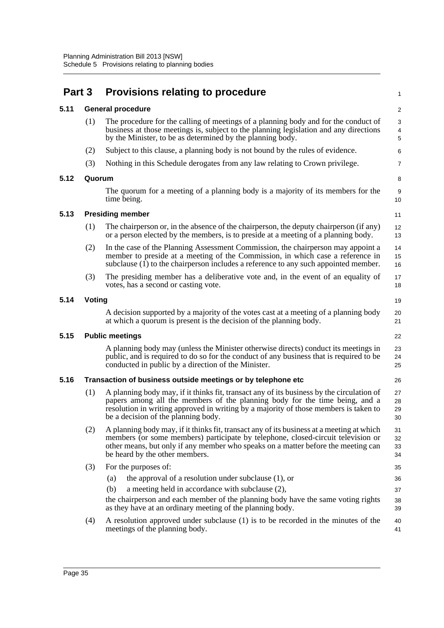| Part 3 |        | <b>Provisions relating to procedure</b>                                                                                                                                                                                                                                                                 |                                                                |  |  |  |  |
|--------|--------|---------------------------------------------------------------------------------------------------------------------------------------------------------------------------------------------------------------------------------------------------------------------------------------------------------|----------------------------------------------------------------|--|--|--|--|
| 5.11   |        | <b>General procedure</b>                                                                                                                                                                                                                                                                                | $\overline{\mathbf{c}}$                                        |  |  |  |  |
|        | (1)    | The procedure for the calling of meetings of a planning body and for the conduct of<br>business at those meetings is, subject to the planning legislation and any directions<br>by the Minister, to be as determined by the planning body.                                                              | 3<br>4<br>5                                                    |  |  |  |  |
|        | (2)    | Subject to this clause, a planning body is not bound by the rules of evidence.                                                                                                                                                                                                                          | 6                                                              |  |  |  |  |
|        | (3)    | Nothing in this Schedule derogates from any law relating to Crown privilege.                                                                                                                                                                                                                            | 7                                                              |  |  |  |  |
| 5.12   | Quorum |                                                                                                                                                                                                                                                                                                         | 8                                                              |  |  |  |  |
|        |        | The quorum for a meeting of a planning body is a majority of its members for the<br>time being.                                                                                                                                                                                                         | 9<br>10                                                        |  |  |  |  |
| 5.13   |        | <b>Presiding member</b>                                                                                                                                                                                                                                                                                 | 11                                                             |  |  |  |  |
|        | (1)    | The chairperson or, in the absence of the chairperson, the deputy chairperson (if any)<br>or a person elected by the members, is to preside at a meeting of a planning body.                                                                                                                            | 12<br>13                                                       |  |  |  |  |
|        | (2)    | In the case of the Planning Assessment Commission, the chairperson may appoint a<br>member to preside at a meeting of the Commission, in which case a reference in<br>subclause (1) to the chairperson includes a reference to any such appointed member.                                               | 14<br>15<br>16                                                 |  |  |  |  |
|        | (3)    | The presiding member has a deliberative vote and, in the event of an equality of<br>votes, has a second or casting vote.                                                                                                                                                                                | 17<br>18                                                       |  |  |  |  |
| 5.14   |        | Voting                                                                                                                                                                                                                                                                                                  |                                                                |  |  |  |  |
|        |        | A decision supported by a majority of the votes cast at a meeting of a planning body<br>at which a quorum is present is the decision of the planning body.                                                                                                                                              | 20<br>21                                                       |  |  |  |  |
| 5.15   |        | <b>Public meetings</b>                                                                                                                                                                                                                                                                                  | 22                                                             |  |  |  |  |
|        |        | A planning body may (unless the Minister otherwise directs) conduct its meetings in<br>public, and is required to do so for the conduct of any business that is required to be<br>conducted in public by a direction of the Minister.                                                                   | 23<br>24<br>25                                                 |  |  |  |  |
| 5.16   |        | Transaction of business outside meetings or by telephone etc                                                                                                                                                                                                                                            | 26                                                             |  |  |  |  |
|        | (1)    | A planning body may, if it thinks fit, transact any of its business by the circulation of<br>papers among all the members of the planning body for the time being, and a<br>resolution in writing approved in writing by a majority of those members is taken to<br>be a decision of the planning body. |                                                                |  |  |  |  |
|        | (2)    | A planning body may, if it thinks fit, transact any of its business at a meeting at which<br>members (or some members) participate by telephone, closed-circuit television or<br>other means, but only if any member who speaks on a matter before the meeting can<br>be heard by the other members.    |                                                                |  |  |  |  |
|        | (3)    | For the purposes of:                                                                                                                                                                                                                                                                                    | 35                                                             |  |  |  |  |
|        |        | the approval of a resolution under subclause $(1)$ , or<br>(a)                                                                                                                                                                                                                                          | 36                                                             |  |  |  |  |
|        |        | a meeting held in accordance with subclause (2),<br>(b)                                                                                                                                                                                                                                                 | 37                                                             |  |  |  |  |
|        |        | the chairperson and each member of the planning body have the same voting rights<br>as they have at an ordinary meeting of the planning body.                                                                                                                                                           | 19<br>27<br>28<br>29<br>30<br>31<br>32<br>33<br>34<br>38<br>39 |  |  |  |  |
|        | (4)    | A resolution approved under subclause (1) is to be recorded in the minutes of the<br>meetings of the planning body.                                                                                                                                                                                     | 40<br>41                                                       |  |  |  |  |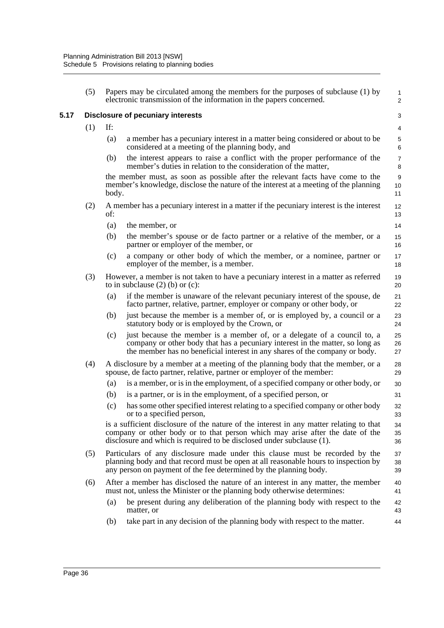**5.17 Disclosure of pecuniary interests**

| (5) | Papers may be circulated among the members for the purposes of subclause (1) by<br>$\mathbf{1}$<br>electronic transmission of the information in the papers concerned.<br>2                                                                                         |                                                                                                                                                                                                                                          |                              |  |  |
|-----|---------------------------------------------------------------------------------------------------------------------------------------------------------------------------------------------------------------------------------------------------------------------|------------------------------------------------------------------------------------------------------------------------------------------------------------------------------------------------------------------------------------------|------------------------------|--|--|
|     |                                                                                                                                                                                                                                                                     | <b>Disclosure of pecuniary interests</b>                                                                                                                                                                                                 | 3                            |  |  |
| (1) | If:                                                                                                                                                                                                                                                                 |                                                                                                                                                                                                                                          | $\overline{4}$               |  |  |
|     | (a)                                                                                                                                                                                                                                                                 | a member has a pecuniary interest in a matter being considered or about to be<br>considered at a meeting of the planning body, and                                                                                                       | $\mathbf 5$<br>6             |  |  |
|     | (b)                                                                                                                                                                                                                                                                 | the interest appears to raise a conflict with the proper performance of the<br>member's duties in relation to the consideration of the matter,                                                                                           | $\boldsymbol{7}$<br>8        |  |  |
|     | body.                                                                                                                                                                                                                                                               | the member must, as soon as possible after the relevant facts have come to the<br>member's knowledge, disclose the nature of the interest at a meeting of the planning                                                                   | $\boldsymbol{9}$<br>10<br>11 |  |  |
| (2) | A member has a pecuniary interest in a matter if the pecuniary interest is the interest<br>of:                                                                                                                                                                      |                                                                                                                                                                                                                                          |                              |  |  |
|     | (a)                                                                                                                                                                                                                                                                 | the member, or                                                                                                                                                                                                                           | 14                           |  |  |
|     | (b)                                                                                                                                                                                                                                                                 | the member's spouse or de facto partner or a relative of the member, or a<br>partner or employer of the member, or                                                                                                                       | 15<br>16                     |  |  |
|     | (c)                                                                                                                                                                                                                                                                 | a company or other body of which the member, or a nominee, partner or<br>employer of the member, is a member.                                                                                                                            | 17<br>18                     |  |  |
| (3) | However, a member is not taken to have a pecuniary interest in a matter as referred<br>to in subclause $(2)$ (b) or $(c)$ :                                                                                                                                         |                                                                                                                                                                                                                                          |                              |  |  |
|     | (a)                                                                                                                                                                                                                                                                 | if the member is unaware of the relevant pecuniary interest of the spouse, de<br>facto partner, relative, partner, employer or company or other body, or                                                                                 | 21<br>22                     |  |  |
|     | (b)                                                                                                                                                                                                                                                                 | just because the member is a member of, or is employed by, a council or a<br>statutory body or is employed by the Crown, or                                                                                                              | 23<br>24                     |  |  |
|     | (c)                                                                                                                                                                                                                                                                 | just because the member is a member of, or a delegate of a council to, a<br>company or other body that has a pecuniary interest in the matter, so long as<br>the member has no beneficial interest in any shares of the company or body. | 25<br>26<br>27               |  |  |
| (4) | A disclosure by a member at a meeting of the planning body that the member, or a<br>spouse, de facto partner, relative, partner or employer of the member:                                                                                                          |                                                                                                                                                                                                                                          |                              |  |  |
|     | (a)                                                                                                                                                                                                                                                                 | is a member, or is in the employment, of a specified company or other body, or                                                                                                                                                           | 30                           |  |  |
|     | (b)                                                                                                                                                                                                                                                                 | is a partner, or is in the employment, of a specified person, or                                                                                                                                                                         | 31                           |  |  |
|     | (c)                                                                                                                                                                                                                                                                 | has some other specified interest relating to a specified company or other body<br>or to a specified person,                                                                                                                             | 32<br>33                     |  |  |
|     | is a sufficient disclosure of the nature of the interest in any matter relating to that<br>34<br>company or other body or to that person which may arise after the date of the<br>35<br>disclosure and which is required to be disclosed under subclause (1).<br>36 |                                                                                                                                                                                                                                          |                              |  |  |
| (5) | Particulars of any disclosure made under this clause must be recorded by the<br>planning body and that record must be open at all reasonable hours to inspection by<br>any person on payment of the fee determined by the planning body.                            |                                                                                                                                                                                                                                          | 37<br>38<br>39               |  |  |
| (6) |                                                                                                                                                                                                                                                                     | After a member has disclosed the nature of an interest in any matter, the member<br>must not, unless the Minister or the planning body otherwise determines:                                                                             |                              |  |  |
|     | (a)                                                                                                                                                                                                                                                                 | be present during any deliberation of the planning body with respect to the<br>matter, or                                                                                                                                                | 42<br>43                     |  |  |
|     | (b)                                                                                                                                                                                                                                                                 | take part in any decision of the planning body with respect to the matter.                                                                                                                                                               | 44                           |  |  |
|     |                                                                                                                                                                                                                                                                     |                                                                                                                                                                                                                                          |                              |  |  |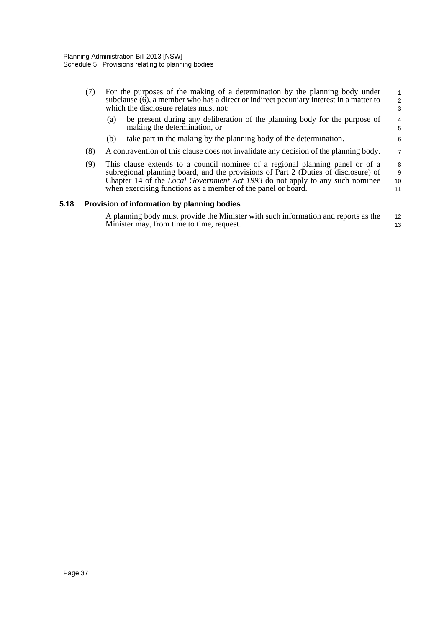|      | (7)                                                                                                                                                                                                                                                                                                                              | For the purposes of the making of a determination by the planning body under<br>subclause (6), a member who has a direct or indirect pecuniary interest in a matter to<br>which the disclosure relates must not: |                        |  |  |
|------|----------------------------------------------------------------------------------------------------------------------------------------------------------------------------------------------------------------------------------------------------------------------------------------------------------------------------------|------------------------------------------------------------------------------------------------------------------------------------------------------------------------------------------------------------------|------------------------|--|--|
|      |                                                                                                                                                                                                                                                                                                                                  | be present during any deliberation of the planning body for the purpose of<br>(a)<br>making the determination, or                                                                                                | $\overline{4}$<br>5    |  |  |
|      |                                                                                                                                                                                                                                                                                                                                  | take part in the making by the planning body of the determination.<br>(b)                                                                                                                                        | 6                      |  |  |
|      | (8)                                                                                                                                                                                                                                                                                                                              | A contravention of this clause does not invalidate any decision of the planning body.                                                                                                                            | $\overline{7}$         |  |  |
|      | (9)<br>This clause extends to a council nomine of a regional planning panel or of a<br>subregional planning board, and the provisions of Part 2 (Duties of disclosure) of<br>Chapter 14 of the <i>Local Government Act 1993</i> do not apply to any such nominee<br>when exercising functions as a member of the panel or board. |                                                                                                                                                                                                                  | 8<br>$9\,$<br>10<br>11 |  |  |
| 5.18 |                                                                                                                                                                                                                                                                                                                                  | Provision of information by planning bodies                                                                                                                                                                      |                        |  |  |
|      |                                                                                                                                                                                                                                                                                                                                  | A planning body must provide the Minister with such information and reports as the<br>Minister may, from time to time, request.                                                                                  | 12<br>13               |  |  |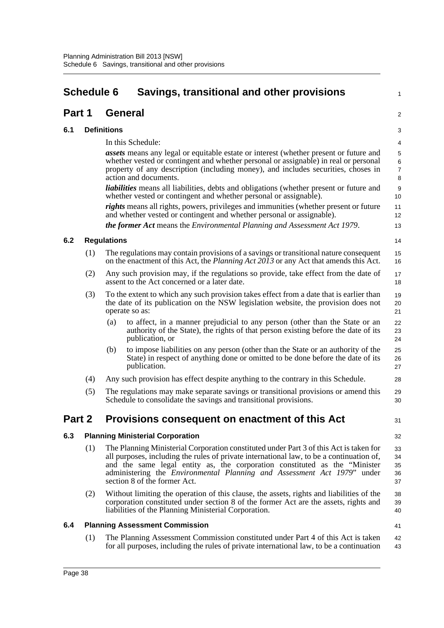<span id="page-46-0"></span>

| <b>Schedule 6</b> |     |                    | Savings, transitional and other provisions                                                                                                                                                                                                                                                                                                                                   | 1                                               |  |
|-------------------|-----|--------------------|------------------------------------------------------------------------------------------------------------------------------------------------------------------------------------------------------------------------------------------------------------------------------------------------------------------------------------------------------------------------------|-------------------------------------------------|--|
| Part 1            |     |                    | <b>General</b>                                                                                                                                                                                                                                                                                                                                                               | 2                                               |  |
| 6.1               |     | <b>Definitions</b> |                                                                                                                                                                                                                                                                                                                                                                              |                                                 |  |
|                   |     |                    | In this Schedule:                                                                                                                                                                                                                                                                                                                                                            | 4                                               |  |
|                   |     |                    | <i>assets</i> means any legal or equitable estate or interest (whether present or future and<br>whether vested or contingent and whether personal or assignable) in real or personal<br>property of any description (including money), and includes securities, choses in<br>action and documents.                                                                           | $\mathbf 5$<br>$\,6\,$<br>$\boldsymbol{7}$<br>8 |  |
|                   |     |                    | <i>liabilities</i> means all liabilities, debts and obligations (whether present or future and<br>whether vested or contingent and whether personal or assignable).                                                                                                                                                                                                          | 9<br>10                                         |  |
|                   |     |                    | rights means all rights, powers, privileges and immunities (whether present or future<br>and whether vested or contingent and whether personal or assignable).                                                                                                                                                                                                               | 11<br>12                                        |  |
|                   |     |                    | the former Act means the Environmental Planning and Assessment Act 1979.                                                                                                                                                                                                                                                                                                     | 13                                              |  |
| 6.2               |     | <b>Regulations</b> |                                                                                                                                                                                                                                                                                                                                                                              | 14                                              |  |
|                   | (1) |                    | The regulations may contain provisions of a savings or transitional nature consequent<br>on the enactment of this Act, the <i>Planning Act 2013</i> or any Act that amends this Act.                                                                                                                                                                                         | 15<br>16                                        |  |
|                   | (2) |                    | Any such provision may, if the regulations so provide, take effect from the date of<br>assent to the Act concerned or a later date.                                                                                                                                                                                                                                          | 17<br>18                                        |  |
|                   | (3) |                    | To the extent to which any such provision takes effect from a date that is earlier than<br>the date of its publication on the NSW legislation website, the provision does not<br>operate so as:                                                                                                                                                                              | 19<br>20<br>21                                  |  |
|                   |     | (a)                | to affect, in a manner prejudicial to any person (other than the State or an<br>authority of the State), the rights of that person existing before the date of its<br>publication, or                                                                                                                                                                                        | 22<br>23<br>24                                  |  |
|                   |     | (b)                | to impose liabilities on any person (other than the State or an authority of the<br>State) in respect of anything done or omitted to be done before the date of its<br>publication.                                                                                                                                                                                          | 25<br>26<br>27                                  |  |
|                   | (4) |                    | Any such provision has effect despite anything to the contrary in this Schedule.                                                                                                                                                                                                                                                                                             | 28                                              |  |
|                   | (5) |                    | The regulations may make separate savings or transitional provisions or amend this<br>Schedule to consolidate the savings and transitional provisions.                                                                                                                                                                                                                       | 29<br>30                                        |  |
| Part 2            |     |                    | Provisions consequent on enactment of this Act                                                                                                                                                                                                                                                                                                                               | 31                                              |  |
| 6.3               |     |                    | <b>Planning Ministerial Corporation</b>                                                                                                                                                                                                                                                                                                                                      | 32                                              |  |
|                   | (1) |                    | The Planning Ministerial Corporation constituted under Part 3 of this Act is taken for<br>all purposes, including the rules of private international law, to be a continuation of,<br>and the same legal entity as, the corporation constituted as the "Minister"<br>administering the Environmental Planning and Assessment Act 1979" under<br>section 8 of the former Act. | 33<br>34<br>35<br>36<br>37                      |  |
|                   | (2) |                    | Without limiting the operation of this clause, the assets, rights and liabilities of the<br>corporation constituted under section 8 of the former Act are the assets, rights and<br>liabilities of the Planning Ministerial Corporation.                                                                                                                                     | 38<br>39<br>40                                  |  |
| 6.4               |     |                    | <b>Planning Assessment Commission</b>                                                                                                                                                                                                                                                                                                                                        | 41                                              |  |
|                   | (1) |                    | The Planning Assessment Commission constituted under Part 4 of this Act is taken<br>for all purposes, including the rules of private international law, to be a continuation                                                                                                                                                                                                 | 42<br>43                                        |  |